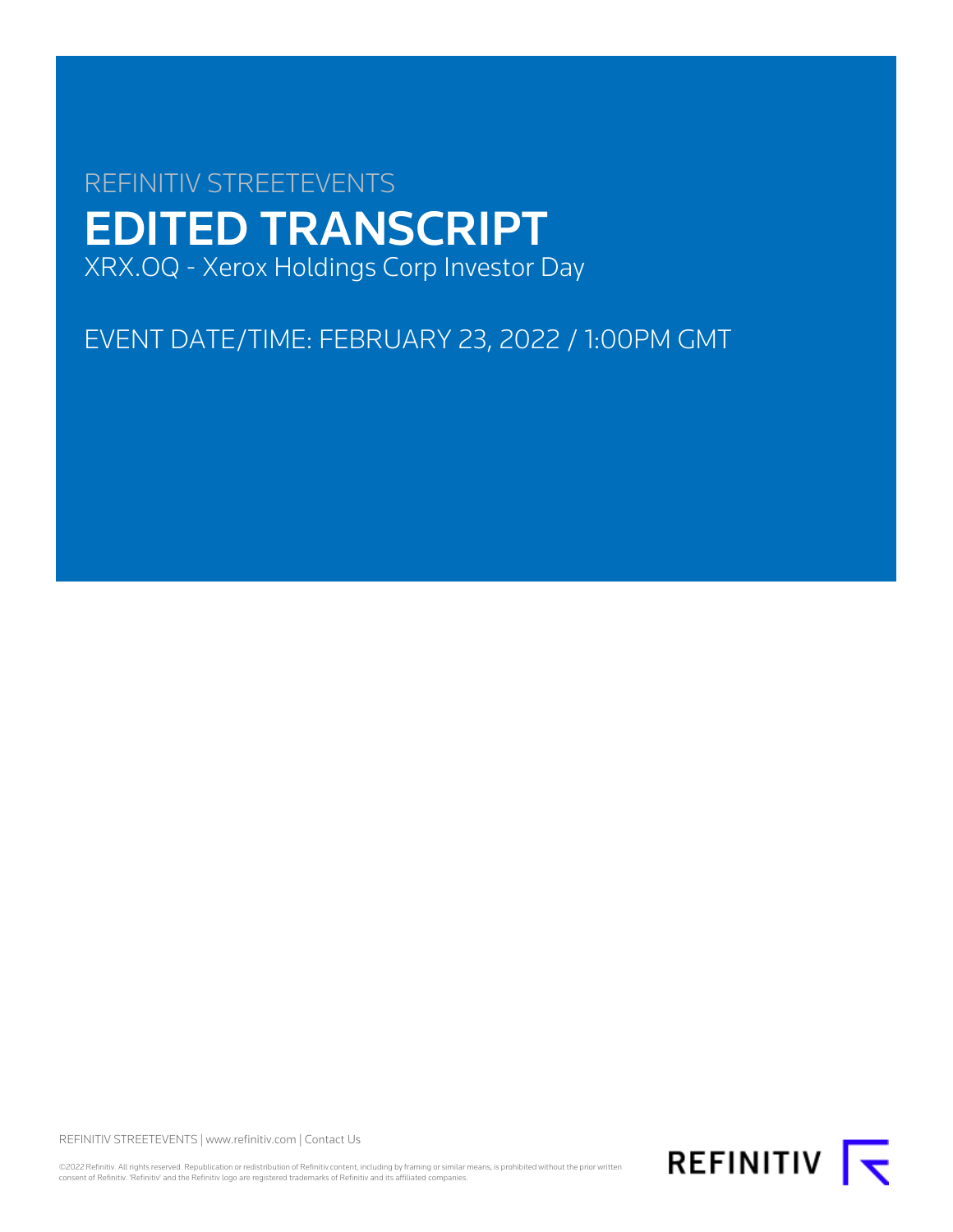# REFINITIV STREETEVENTS EDITED TRANSCRIPT XRX.OQ - Xerox Holdings Corp Investor Day

EVENT DATE/TIME: FEBRUARY 23, 2022 / 1:00PM GMT

REFINITIV STREETEVENTS | [www.refinitiv.com](https://www.refinitiv.com/) | [Contact Us](https://www.refinitiv.com/en/contact-us)

©2022 Refinitiv. All rights reserved. Republication or redistribution of Refinitiv content, including by framing or similar means, is prohibited without the prior written<br>consent of Refinitiv. 'Refinitiv' and the Refinitiv

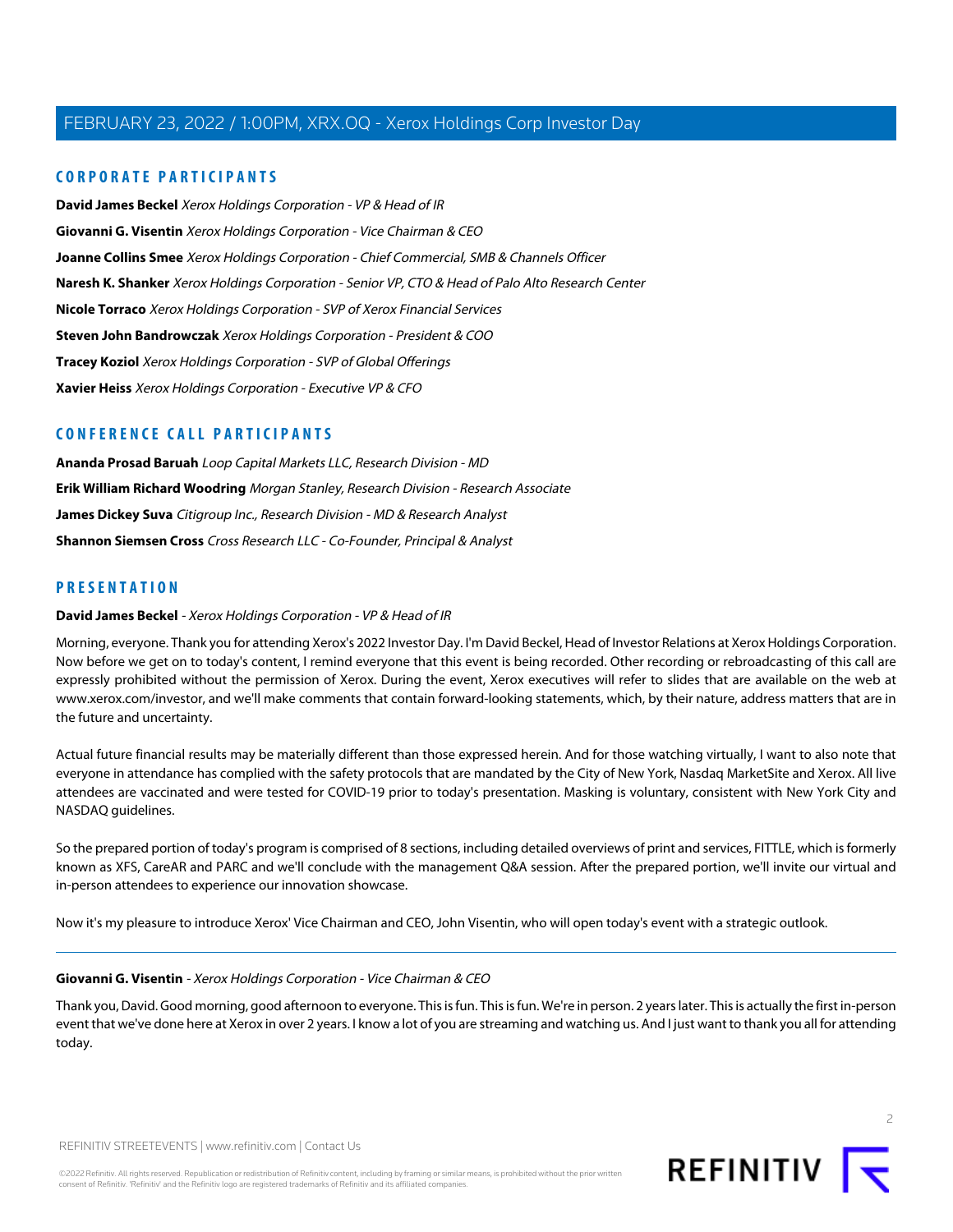### **CORPORATE PARTICIPANTS**

**[David James Beckel](#page-1-0)** Xerox Holdings Corporation - VP & Head of IR **[Giovanni G. Visentin](#page-1-1)** Xerox Holdings Corporation - Vice Chairman & CEO **[Joanne Collins Smee](#page-7-0)** Xerox Holdings Corporation - Chief Commercial, SMB & Channels Officer **[Naresh K. Shanker](#page-13-0)** Xerox Holdings Corporation - Senior VP, CTO & Head of Palo Alto Research Center **[Nicole Torraco](#page-8-0)** Xerox Holdings Corporation - SVP of Xerox Financial Services **[Steven John Bandrowczak](#page-3-0)** Xerox Holdings Corporation - President & COO **[Tracey Koziol](#page-4-0)** Xerox Holdings Corporation - SVP of Global Offerings **[Xavier Heiss](#page-17-0)** Xerox Holdings Corporation - Executive VP & CFO

### **CONFERENCE CALL PARTICIPANTS**

**[Ananda Prosad Baruah](#page-19-0)** Loop Capital Markets LLC, Research Division - MD **[Erik William Richard Woodring](#page-24-0)** Morgan Stanley, Research Division - Research Associate **[James Dickey Suva](#page-23-0)** Citigroup Inc., Research Division - MD & Research Analyst **[Shannon Siemsen Cross](#page-21-0)** Cross Research LLC - Co-Founder, Principal & Analyst

### <span id="page-1-0"></span>**PRESENTATION**

#### **David James Beckel** - Xerox Holdings Corporation - VP & Head of IR

Morning, everyone. Thank you for attending Xerox's 2022 Investor Day. I'm David Beckel, Head of Investor Relations at Xerox Holdings Corporation. Now before we get on to today's content, I remind everyone that this event is being recorded. Other recording or rebroadcasting of this call are expressly prohibited without the permission of Xerox. During the event, Xerox executives will refer to slides that are available on the web at www.xerox.com/investor, and we'll make comments that contain forward-looking statements, which, by their nature, address matters that are in the future and uncertainty.

Actual future financial results may be materially different than those expressed herein. And for those watching virtually, I want to also note that everyone in attendance has complied with the safety protocols that are mandated by the City of New York, Nasdaq MarketSite and Xerox. All live attendees are vaccinated and were tested for COVID-19 prior to today's presentation. Masking is voluntary, consistent with New York City and NASDAQ guidelines.

<span id="page-1-1"></span>So the prepared portion of today's program is comprised of 8 sections, including detailed overviews of print and services, FITTLE, which is formerly known as XFS, CareAR and PARC and we'll conclude with the management Q&A session. After the prepared portion, we'll invite our virtual and in-person attendees to experience our innovation showcase.

Now it's my pleasure to introduce Xerox' Vice Chairman and CEO, John Visentin, who will open today's event with a strategic outlook.

#### **Giovanni G. Visentin** - Xerox Holdings Corporation - Vice Chairman & CEO

Thank you, David. Good morning, good afternoon to everyone. This is fun. This is fun. We're in person. 2 years later. This is actually the first in-person event that we've done here at Xerox in over 2 years. I know a lot of you are streaming and watching us. And I just want to thank you all for attending today.



 $\overline{2}$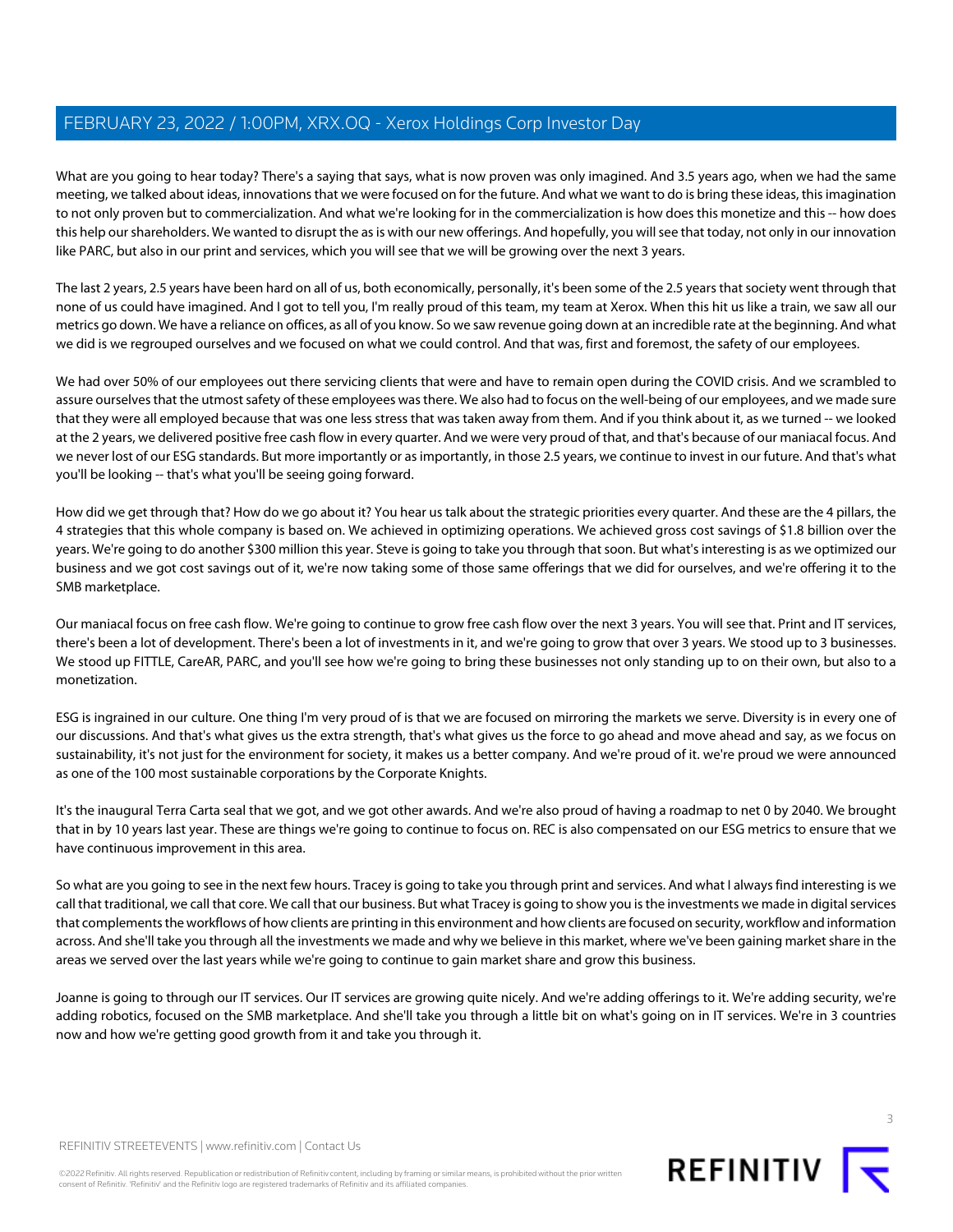What are you going to hear today? There's a saying that says, what is now proven was only imagined. And 3.5 years ago, when we had the same meeting, we talked about ideas, innovations that we were focused on for the future. And what we want to do is bring these ideas, this imagination to not only proven but to commercialization. And what we're looking for in the commercialization is how does this monetize and this -- how does this help our shareholders. We wanted to disrupt the as is with our new offerings. And hopefully, you will see that today, not only in our innovation like PARC, but also in our print and services, which you will see that we will be growing over the next 3 years.

The last 2 years, 2.5 years have been hard on all of us, both economically, personally, it's been some of the 2.5 years that society went through that none of us could have imagined. And I got to tell you, I'm really proud of this team, my team at Xerox. When this hit us like a train, we saw all our metrics go down. We have a reliance on offices, as all of you know. So we saw revenue going down at an incredible rate at the beginning. And what we did is we regrouped ourselves and we focused on what we could control. And that was, first and foremost, the safety of our employees.

We had over 50% of our employees out there servicing clients that were and have to remain open during the COVID crisis. And we scrambled to assure ourselves that the utmost safety of these employees was there. We also had to focus on the well-being of our employees, and we made sure that they were all employed because that was one less stress that was taken away from them. And if you think about it, as we turned -- we looked at the 2 years, we delivered positive free cash flow in every quarter. And we were very proud of that, and that's because of our maniacal focus. And we never lost of our ESG standards. But more importantly or as importantly, in those 2.5 years, we continue to invest in our future. And that's what you'll be looking -- that's what you'll be seeing going forward.

How did we get through that? How do we go about it? You hear us talk about the strategic priorities every quarter. And these are the 4 pillars, the 4 strategies that this whole company is based on. We achieved in optimizing operations. We achieved gross cost savings of \$1.8 billion over the years. We're going to do another \$300 million this year. Steve is going to take you through that soon. But what's interesting is as we optimized our business and we got cost savings out of it, we're now taking some of those same offerings that we did for ourselves, and we're offering it to the SMB marketplace.

Our maniacal focus on free cash flow. We're going to continue to grow free cash flow over the next 3 years. You will see that. Print and IT services, there's been a lot of development. There's been a lot of investments in it, and we're going to grow that over 3 years. We stood up to 3 businesses. We stood up FITTLE, CareAR, PARC, and you'll see how we're going to bring these businesses not only standing up to on their own, but also to a monetization.

ESG is ingrained in our culture. One thing I'm very proud of is that we are focused on mirroring the markets we serve. Diversity is in every one of our discussions. And that's what gives us the extra strength, that's what gives us the force to go ahead and move ahead and say, as we focus on sustainability, it's not just for the environment for society, it makes us a better company. And we're proud of it. we're proud we were announced as one of the 100 most sustainable corporations by the Corporate Knights.

It's the inaugural Terra Carta seal that we got, and we got other awards. And we're also proud of having a roadmap to net 0 by 2040. We brought that in by 10 years last year. These are things we're going to continue to focus on. REC is also compensated on our ESG metrics to ensure that we have continuous improvement in this area.

So what are you going to see in the next few hours. Tracey is going to take you through print and services. And what I always find interesting is we call that traditional, we call that core. We call that our business. But what Tracey is going to show you is the investments we made in digital services that complements the workflows of how clients are printing in this environment and how clients are focused on security, workflow and information across. And she'll take you through all the investments we made and why we believe in this market, where we've been gaining market share in the areas we served over the last years while we're going to continue to gain market share and grow this business.

Joanne is going to through our IT services. Our IT services are growing quite nicely. And we're adding offerings to it. We're adding security, we're adding robotics, focused on the SMB marketplace. And she'll take you through a little bit on what's going on in IT services. We're in 3 countries now and how we're getting good growth from it and take you through it.



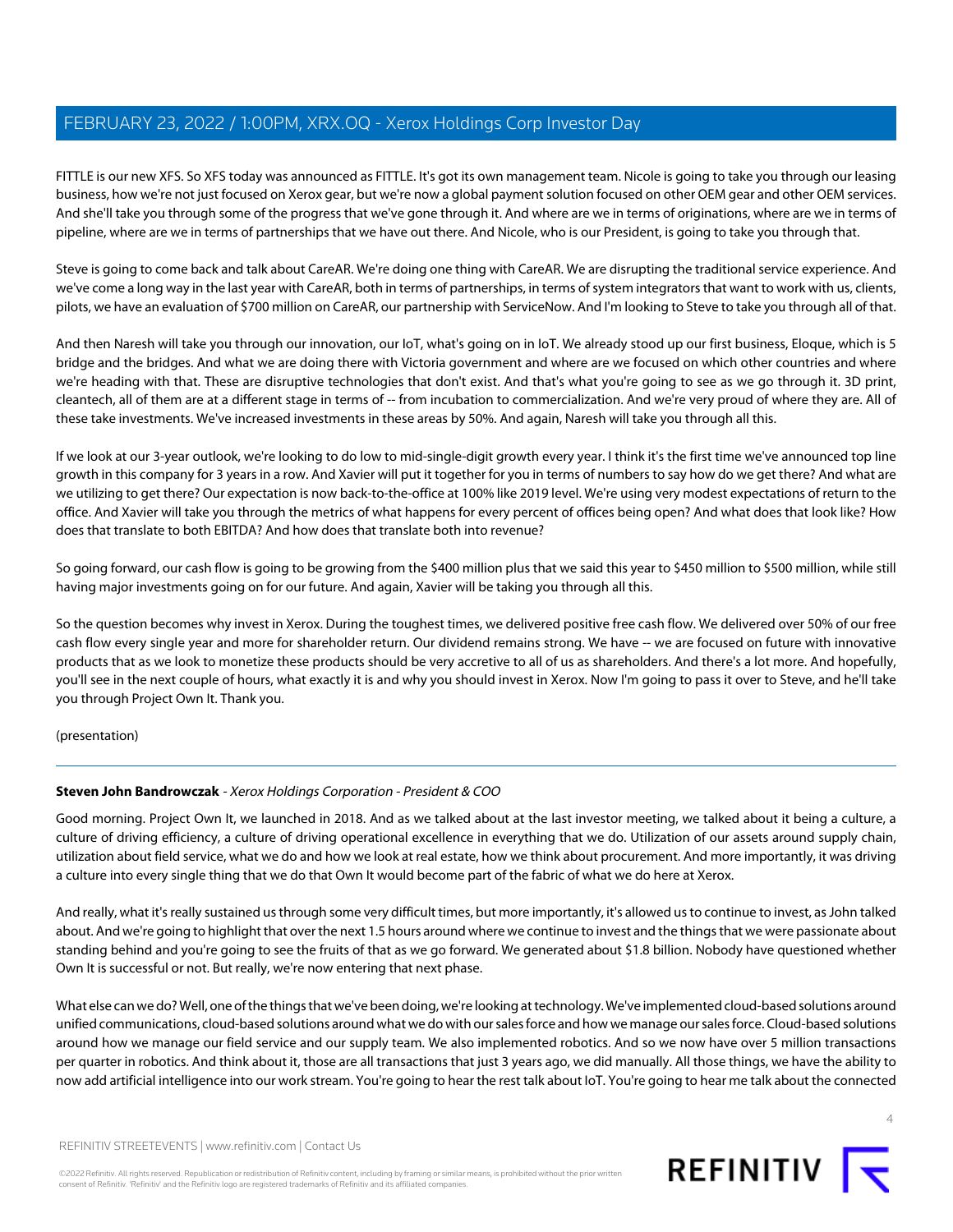FITTLE is our new XFS. So XFS today was announced as FITTLE. It's got its own management team. Nicole is going to take you through our leasing business, how we're not just focused on Xerox gear, but we're now a global payment solution focused on other OEM gear and other OEM services. And she'll take you through some of the progress that we've gone through it. And where are we in terms of originations, where are we in terms of pipeline, where are we in terms of partnerships that we have out there. And Nicole, who is our President, is going to take you through that.

Steve is going to come back and talk about CareAR. We're doing one thing with CareAR. We are disrupting the traditional service experience. And we've come a long way in the last year with CareAR, both in terms of partnerships, in terms of system integrators that want to work with us, clients, pilots, we have an evaluation of \$700 million on CareAR, our partnership with ServiceNow. And I'm looking to Steve to take you through all of that.

And then Naresh will take you through our innovation, our IoT, what's going on in IoT. We already stood up our first business, Eloque, which is 5 bridge and the bridges. And what we are doing there with Victoria government and where are we focused on which other countries and where we're heading with that. These are disruptive technologies that don't exist. And that's what you're going to see as we go through it. 3D print, cleantech, all of them are at a different stage in terms of -- from incubation to commercialization. And we're very proud of where they are. All of these take investments. We've increased investments in these areas by 50%. And again, Naresh will take you through all this.

If we look at our 3-year outlook, we're looking to do low to mid-single-digit growth every year. I think it's the first time we've announced top line growth in this company for 3 years in a row. And Xavier will put it together for you in terms of numbers to say how do we get there? And what are we utilizing to get there? Our expectation is now back-to-the-office at 100% like 2019 level. We're using very modest expectations of return to the office. And Xavier will take you through the metrics of what happens for every percent of offices being open? And what does that look like? How does that translate to both EBITDA? And how does that translate both into revenue?

So going forward, our cash flow is going to be growing from the \$400 million plus that we said this year to \$450 million to \$500 million, while still having major investments going on for our future. And again, Xavier will be taking you through all this.

So the question becomes why invest in Xerox. During the toughest times, we delivered positive free cash flow. We delivered over 50% of our free cash flow every single year and more for shareholder return. Our dividend remains strong. We have -- we are focused on future with innovative products that as we look to monetize these products should be very accretive to all of us as shareholders. And there's a lot more. And hopefully, you'll see in the next couple of hours, what exactly it is and why you should invest in Xerox. Now I'm going to pass it over to Steve, and he'll take you through Project Own It. Thank you.

<span id="page-3-0"></span>(presentation)

### **Steven John Bandrowczak** - Xerox Holdings Corporation - President & COO

Good morning. Project Own It, we launched in 2018. And as we talked about at the last investor meeting, we talked about it being a culture, a culture of driving efficiency, a culture of driving operational excellence in everything that we do. Utilization of our assets around supply chain, utilization about field service, what we do and how we look at real estate, how we think about procurement. And more importantly, it was driving a culture into every single thing that we do that Own It would become part of the fabric of what we do here at Xerox.

And really, what it's really sustained us through some very difficult times, but more importantly, it's allowed us to continue to invest, as John talked about. And we're going to highlight that over the next 1.5 hours around where we continue to invest and the things that we were passionate about standing behind and you're going to see the fruits of that as we go forward. We generated about \$1.8 billion. Nobody have questioned whether Own It is successful or not. But really, we're now entering that next phase.

What else can we do? Well, one of the things that we've been doing, we're looking at technology. We've implemented cloud-based solutions around unified communications, cloud-based solutions around what we do with our sales force and how we manage our sales force. Cloud-based solutions around how we manage our field service and our supply team. We also implemented robotics. And so we now have over 5 million transactions per quarter in robotics. And think about it, those are all transactions that just 3 years ago, we did manually. All those things, we have the ability to now add artificial intelligence into our work stream. You're going to hear the rest talk about IoT. You're going to hear me talk about the connected

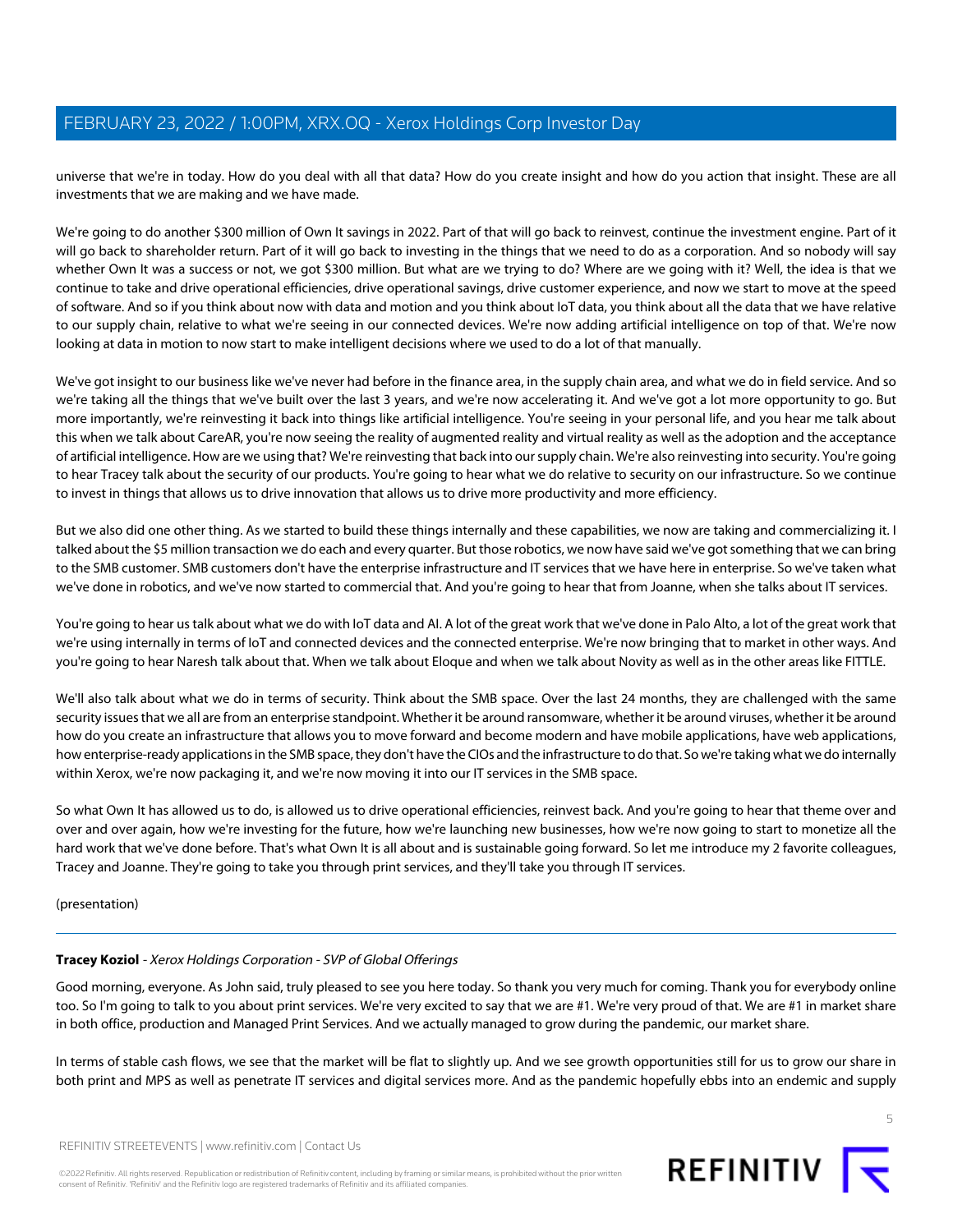universe that we're in today. How do you deal with all that data? How do you create insight and how do you action that insight. These are all investments that we are making and we have made.

We're going to do another \$300 million of Own It savings in 2022. Part of that will go back to reinvest, continue the investment engine. Part of it will go back to shareholder return. Part of it will go back to investing in the things that we need to do as a corporation. And so nobody will say whether Own It was a success or not, we got \$300 million. But what are we trying to do? Where are we going with it? Well, the idea is that we continue to take and drive operational efficiencies, drive operational savings, drive customer experience, and now we start to move at the speed of software. And so if you think about now with data and motion and you think about IoT data, you think about all the data that we have relative to our supply chain, relative to what we're seeing in our connected devices. We're now adding artificial intelligence on top of that. We're now looking at data in motion to now start to make intelligent decisions where we used to do a lot of that manually.

We've got insight to our business like we've never had before in the finance area, in the supply chain area, and what we do in field service. And so we're taking all the things that we've built over the last 3 years, and we're now accelerating it. And we've got a lot more opportunity to go. But more importantly, we're reinvesting it back into things like artificial intelligence. You're seeing in your personal life, and you hear me talk about this when we talk about CareAR, you're now seeing the reality of augmented reality and virtual reality as well as the adoption and the acceptance of artificial intelligence. How are we using that? We're reinvesting that back into our supply chain. We're also reinvesting into security. You're going to hear Tracey talk about the security of our products. You're going to hear what we do relative to security on our infrastructure. So we continue to invest in things that allows us to drive innovation that allows us to drive more productivity and more efficiency.

But we also did one other thing. As we started to build these things internally and these capabilities, we now are taking and commercializing it. I talked about the \$5 million transaction we do each and every quarter. But those robotics, we now have said we've got something that we can bring to the SMB customer. SMB customers don't have the enterprise infrastructure and IT services that we have here in enterprise. So we've taken what we've done in robotics, and we've now started to commercial that. And you're going to hear that from Joanne, when she talks about IT services.

You're going to hear us talk about what we do with IoT data and AI. A lot of the great work that we've done in Palo Alto, a lot of the great work that we're using internally in terms of IoT and connected devices and the connected enterprise. We're now bringing that to market in other ways. And you're going to hear Naresh talk about that. When we talk about Eloque and when we talk about Novity as well as in the other areas like FITTLE.

We'll also talk about what we do in terms of security. Think about the SMB space. Over the last 24 months, they are challenged with the same security issues that we all are from an enterprise standpoint. Whether it be around ransomware, whether it be around viruses, whether it be around how do you create an infrastructure that allows you to move forward and become modern and have mobile applications, have web applications, how enterprise-ready applications in the SMB space, they don't have the CIOs and the infrastructure to do that. So we're taking what we do internally within Xerox, we're now packaging it, and we're now moving it into our IT services in the SMB space.

So what Own It has allowed us to do, is allowed us to drive operational efficiencies, reinvest back. And you're going to hear that theme over and over and over again, how we're investing for the future, how we're launching new businesses, how we're now going to start to monetize all the hard work that we've done before. That's what Own It is all about and is sustainable going forward. So let me introduce my 2 favorite colleagues, Tracey and Joanne. They're going to take you through print services, and they'll take you through IT services.

<span id="page-4-0"></span>(presentation)

### **Tracey Koziol** - Xerox Holdings Corporation - SVP of Global Offerings

Good morning, everyone. As John said, truly pleased to see you here today. So thank you very much for coming. Thank you for everybody online too. So I'm going to talk to you about print services. We're very excited to say that we are #1. We're very proud of that. We are #1 in market share in both office, production and Managed Print Services. And we actually managed to grow during the pandemic, our market share.

In terms of stable cash flows, we see that the market will be flat to slightly up. And we see growth opportunities still for us to grow our share in both print and MPS as well as penetrate IT services and digital services more. And as the pandemic hopefully ebbs into an endemic and supply



©2022 Refinitiv. All rights reserved. Republication or redistribution of Refinitiv content, including by framing or similar means, is prohibited without the prior written consent of Refinitiv. 'Refinitiv' and the Refinitiv logo are registered trademarks of Refinitiv and its affiliated companies.

5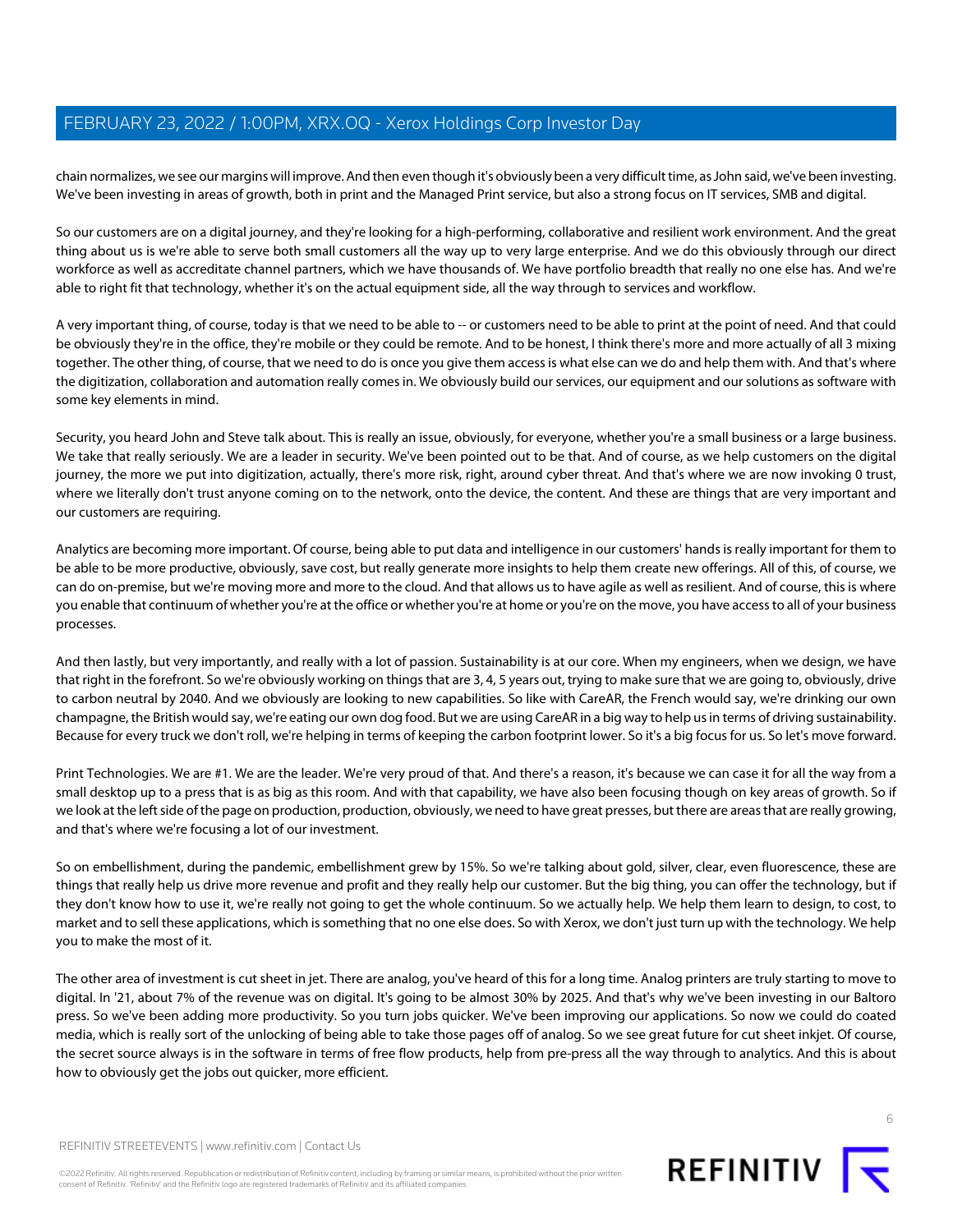chain normalizes, we see our margins will improve. And then even though it's obviously been a very difficult time, as John said, we've been investing. We've been investing in areas of growth, both in print and the Managed Print service, but also a strong focus on IT services, SMB and digital.

So our customers are on a digital journey, and they're looking for a high-performing, collaborative and resilient work environment. And the great thing about us is we're able to serve both small customers all the way up to very large enterprise. And we do this obviously through our direct workforce as well as accreditate channel partners, which we have thousands of. We have portfolio breadth that really no one else has. And we're able to right fit that technology, whether it's on the actual equipment side, all the way through to services and workflow.

A very important thing, of course, today is that we need to be able to -- or customers need to be able to print at the point of need. And that could be obviously they're in the office, they're mobile or they could be remote. And to be honest, I think there's more and more actually of all 3 mixing together. The other thing, of course, that we need to do is once you give them access is what else can we do and help them with. And that's where the digitization, collaboration and automation really comes in. We obviously build our services, our equipment and our solutions as software with some key elements in mind.

Security, you heard John and Steve talk about. This is really an issue, obviously, for everyone, whether you're a small business or a large business. We take that really seriously. We are a leader in security. We've been pointed out to be that. And of course, as we help customers on the digital journey, the more we put into digitization, actually, there's more risk, right, around cyber threat. And that's where we are now invoking 0 trust, where we literally don't trust anyone coming on to the network, onto the device, the content. And these are things that are very important and our customers are requiring.

Analytics are becoming more important. Of course, being able to put data and intelligence in our customers' hands is really important for them to be able to be more productive, obviously, save cost, but really generate more insights to help them create new offerings. All of this, of course, we can do on-premise, but we're moving more and more to the cloud. And that allows us to have agile as well as resilient. And of course, this is where you enable that continuum of whether you're at the office or whether you're at home or you're on the move, you have access to all of your business processes.

And then lastly, but very importantly, and really with a lot of passion. Sustainability is at our core. When my engineers, when we design, we have that right in the forefront. So we're obviously working on things that are 3, 4, 5 years out, trying to make sure that we are going to, obviously, drive to carbon neutral by 2040. And we obviously are looking to new capabilities. So like with CareAR, the French would say, we're drinking our own champagne, the British would say, we're eating our own dog food. But we are using CareAR in a big way to help us in terms of driving sustainability. Because for every truck we don't roll, we're helping in terms of keeping the carbon footprint lower. So it's a big focus for us. So let's move forward.

Print Technologies. We are #1. We are the leader. We're very proud of that. And there's a reason, it's because we can case it for all the way from a small desktop up to a press that is as big as this room. And with that capability, we have also been focusing though on key areas of growth. So if we look at the left side of the page on production, production, obviously, we need to have great presses, but there are areas that are really growing, and that's where we're focusing a lot of our investment.

So on embellishment, during the pandemic, embellishment grew by 15%. So we're talking about gold, silver, clear, even fluorescence, these are things that really help us drive more revenue and profit and they really help our customer. But the big thing, you can offer the technology, but if they don't know how to use it, we're really not going to get the whole continuum. So we actually help. We help them learn to design, to cost, to market and to sell these applications, which is something that no one else does. So with Xerox, we don't just turn up with the technology. We help you to make the most of it.

The other area of investment is cut sheet in jet. There are analog, you've heard of this for a long time. Analog printers are truly starting to move to digital. In '21, about 7% of the revenue was on digital. It's going to be almost 30% by 2025. And that's why we've been investing in our Baltoro press. So we've been adding more productivity. So you turn jobs quicker. We've been improving our applications. So now we could do coated media, which is really sort of the unlocking of being able to take those pages off of analog. So we see great future for cut sheet inkjet. Of course, the secret source always is in the software in terms of free flow products, help from pre-press all the way through to analytics. And this is about how to obviously get the jobs out quicker, more efficient.

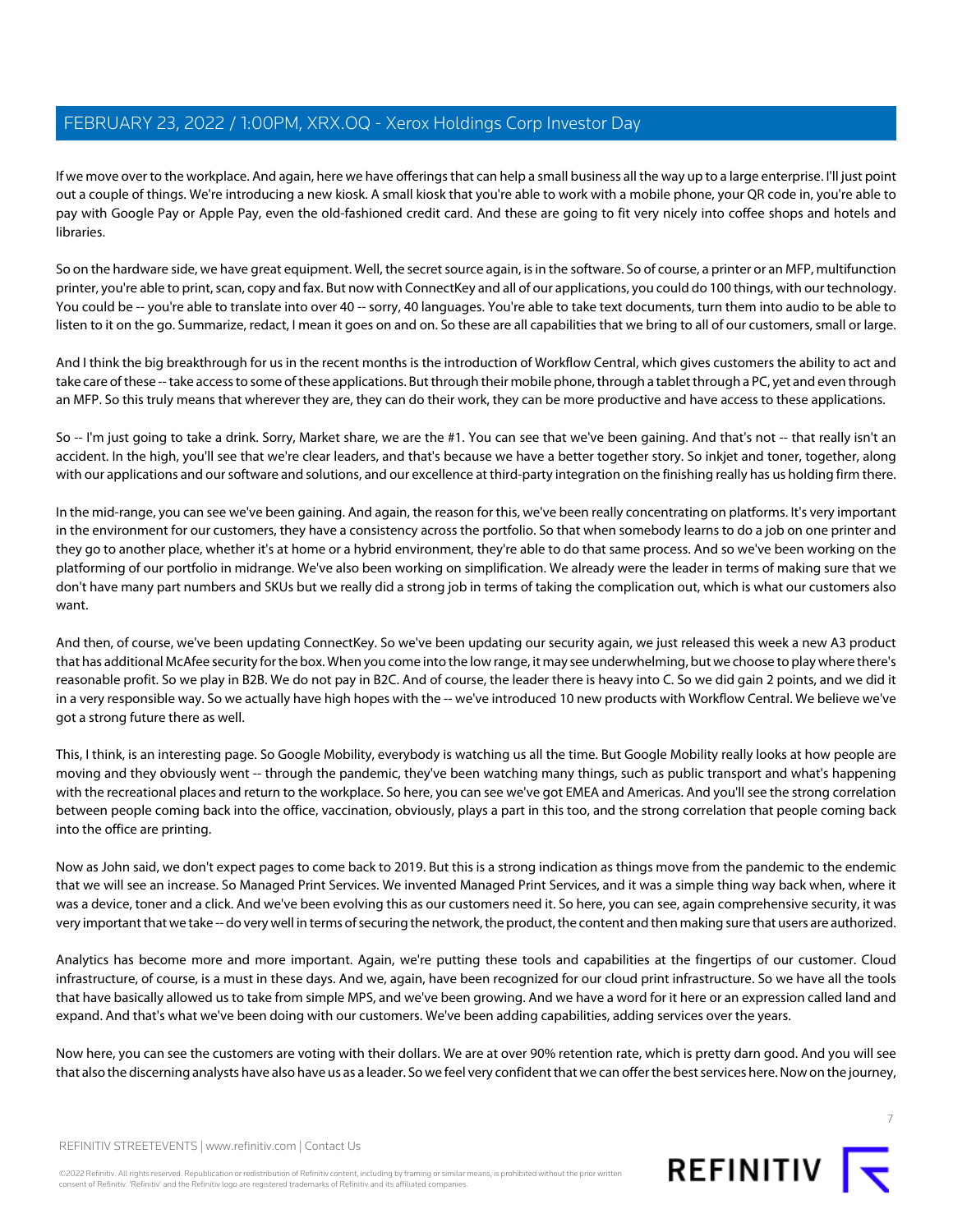If we move over to the workplace. And again, here we have offerings that can help a small business all the way up to a large enterprise. I'll just point out a couple of things. We're introducing a new kiosk. A small kiosk that you're able to work with a mobile phone, your QR code in, you're able to pay with Google Pay or Apple Pay, even the old-fashioned credit card. And these are going to fit very nicely into coffee shops and hotels and libraries.

So on the hardware side, we have great equipment. Well, the secret source again, is in the software. So of course, a printer or an MFP, multifunction printer, you're able to print, scan, copy and fax. But now with ConnectKey and all of our applications, you could do 100 things, with our technology. You could be -- you're able to translate into over 40 -- sorry, 40 languages. You're able to take text documents, turn them into audio to be able to listen to it on the go. Summarize, redact, I mean it goes on and on. So these are all capabilities that we bring to all of our customers, small or large.

And I think the big breakthrough for us in the recent months is the introduction of Workflow Central, which gives customers the ability to act and take care of these -- take access to some of these applications. But through their mobile phone, through a tablet through a PC, yet and even through an MFP. So this truly means that wherever they are, they can do their work, they can be more productive and have access to these applications.

So -- I'm just going to take a drink. Sorry, Market share, we are the #1. You can see that we've been gaining. And that's not -- that really isn't an accident. In the high, you'll see that we're clear leaders, and that's because we have a better together story. So inkjet and toner, together, along with our applications and our software and solutions, and our excellence at third-party integration on the finishing really has us holding firm there.

In the mid-range, you can see we've been gaining. And again, the reason for this, we've been really concentrating on platforms. It's very important in the environment for our customers, they have a consistency across the portfolio. So that when somebody learns to do a job on one printer and they go to another place, whether it's at home or a hybrid environment, they're able to do that same process. And so we've been working on the platforming of our portfolio in midrange. We've also been working on simplification. We already were the leader in terms of making sure that we don't have many part numbers and SKUs but we really did a strong job in terms of taking the complication out, which is what our customers also want.

And then, of course, we've been updating ConnectKey. So we've been updating our security again, we just released this week a new A3 product that has additional McAfee security for the box. When you come into the low range, it may see underwhelming, but we choose to play where there's reasonable profit. So we play in B2B. We do not pay in B2C. And of course, the leader there is heavy into C. So we did gain 2 points, and we did it in a very responsible way. So we actually have high hopes with the -- we've introduced 10 new products with Workflow Central. We believe we've got a strong future there as well.

This, I think, is an interesting page. So Google Mobility, everybody is watching us all the time. But Google Mobility really looks at how people are moving and they obviously went -- through the pandemic, they've been watching many things, such as public transport and what's happening with the recreational places and return to the workplace. So here, you can see we've got EMEA and Americas. And you'll see the strong correlation between people coming back into the office, vaccination, obviously, plays a part in this too, and the strong correlation that people coming back into the office are printing.

Now as John said, we don't expect pages to come back to 2019. But this is a strong indication as things move from the pandemic to the endemic that we will see an increase. So Managed Print Services. We invented Managed Print Services, and it was a simple thing way back when, where it was a device, toner and a click. And we've been evolving this as our customers need it. So here, you can see, again comprehensive security, it was very important that we take -- do very well in terms of securing the network, the product, the content and then making sure that users are authorized.

Analytics has become more and more important. Again, we're putting these tools and capabilities at the fingertips of our customer. Cloud infrastructure, of course, is a must in these days. And we, again, have been recognized for our cloud print infrastructure. So we have all the tools that have basically allowed us to take from simple MPS, and we've been growing. And we have a word for it here or an expression called land and expand. And that's what we've been doing with our customers. We've been adding capabilities, adding services over the years.

Now here, you can see the customers are voting with their dollars. We are at over 90% retention rate, which is pretty darn good. And you will see that also the discerning analysts have also have us as a leader. So we feel very confident that we can offer the best services here. Now on the journey,



©2022 Refinitiv. All rights reserved. Republication or redistribution of Refinitiv content, including by framing or similar means, is prohibited without the prior written consent of Refinitiv. 'Refinitiv' and the Refinitiv logo are registered trademarks of Refinitiv and its affiliated companies.



7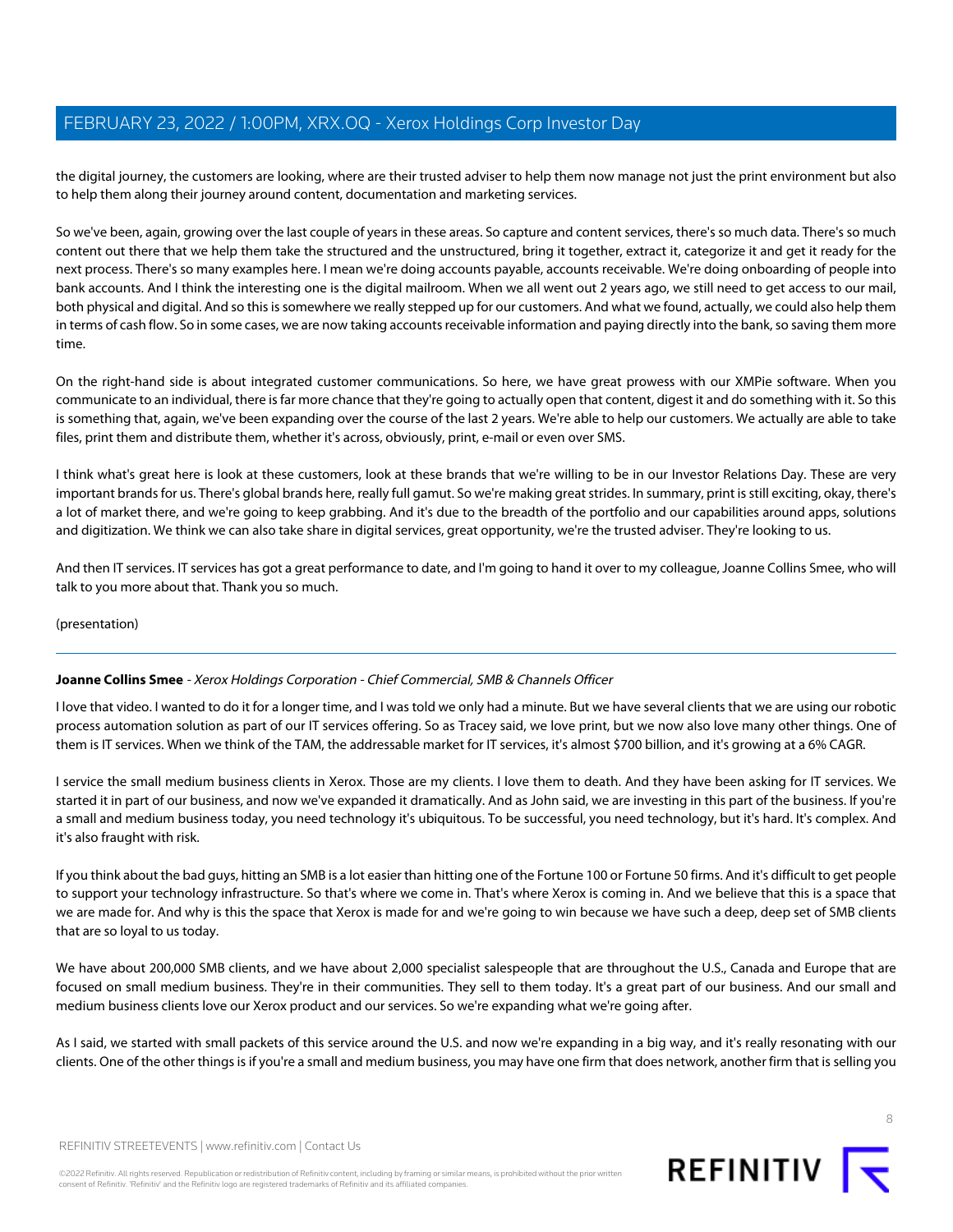the digital journey, the customers are looking, where are their trusted adviser to help them now manage not just the print environment but also to help them along their journey around content, documentation and marketing services.

So we've been, again, growing over the last couple of years in these areas. So capture and content services, there's so much data. There's so much content out there that we help them take the structured and the unstructured, bring it together, extract it, categorize it and get it ready for the next process. There's so many examples here. I mean we're doing accounts payable, accounts receivable. We're doing onboarding of people into bank accounts. And I think the interesting one is the digital mailroom. When we all went out 2 years ago, we still need to get access to our mail, both physical and digital. And so this is somewhere we really stepped up for our customers. And what we found, actually, we could also help them in terms of cash flow. So in some cases, we are now taking accounts receivable information and paying directly into the bank, so saving them more time.

On the right-hand side is about integrated customer communications. So here, we have great prowess with our XMPie software. When you communicate to an individual, there is far more chance that they're going to actually open that content, digest it and do something with it. So this is something that, again, we've been expanding over the course of the last 2 years. We're able to help our customers. We actually are able to take files, print them and distribute them, whether it's across, obviously, print, e-mail or even over SMS.

I think what's great here is look at these customers, look at these brands that we're willing to be in our Investor Relations Day. These are very important brands for us. There's global brands here, really full gamut. So we're making great strides. In summary, print is still exciting, okay, there's a lot of market there, and we're going to keep grabbing. And it's due to the breadth of the portfolio and our capabilities around apps, solutions and digitization. We think we can also take share in digital services, great opportunity, we're the trusted adviser. They're looking to us.

And then IT services. IT services has got a great performance to date, and I'm going to hand it over to my colleague, Joanne Collins Smee, who will talk to you more about that. Thank you so much.

<span id="page-7-0"></span>(presentation)

### **Joanne Collins Smee** - Xerox Holdings Corporation - Chief Commercial, SMB & Channels Officer

I love that video. I wanted to do it for a longer time, and I was told we only had a minute. But we have several clients that we are using our robotic process automation solution as part of our IT services offering. So as Tracey said, we love print, but we now also love many other things. One of them is IT services. When we think of the TAM, the addressable market for IT services, it's almost \$700 billion, and it's growing at a 6% CAGR.

I service the small medium business clients in Xerox. Those are my clients. I love them to death. And they have been asking for IT services. We started it in part of our business, and now we've expanded it dramatically. And as John said, we are investing in this part of the business. If you're a small and medium business today, you need technology it's ubiquitous. To be successful, you need technology, but it's hard. It's complex. And it's also fraught with risk.

If you think about the bad guys, hitting an SMB is a lot easier than hitting one of the Fortune 100 or Fortune 50 firms. And it's difficult to get people to support your technology infrastructure. So that's where we come in. That's where Xerox is coming in. And we believe that this is a space that we are made for. And why is this the space that Xerox is made for and we're going to win because we have such a deep, deep set of SMB clients that are so loyal to us today.

We have about 200,000 SMB clients, and we have about 2,000 specialist salespeople that are throughout the U.S., Canada and Europe that are focused on small medium business. They're in their communities. They sell to them today. It's a great part of our business. And our small and medium business clients love our Xerox product and our services. So we're expanding what we're going after.

As I said, we started with small packets of this service around the U.S. and now we're expanding in a big way, and it's really resonating with our clients. One of the other things is if you're a small and medium business, you may have one firm that does network, another firm that is selling you

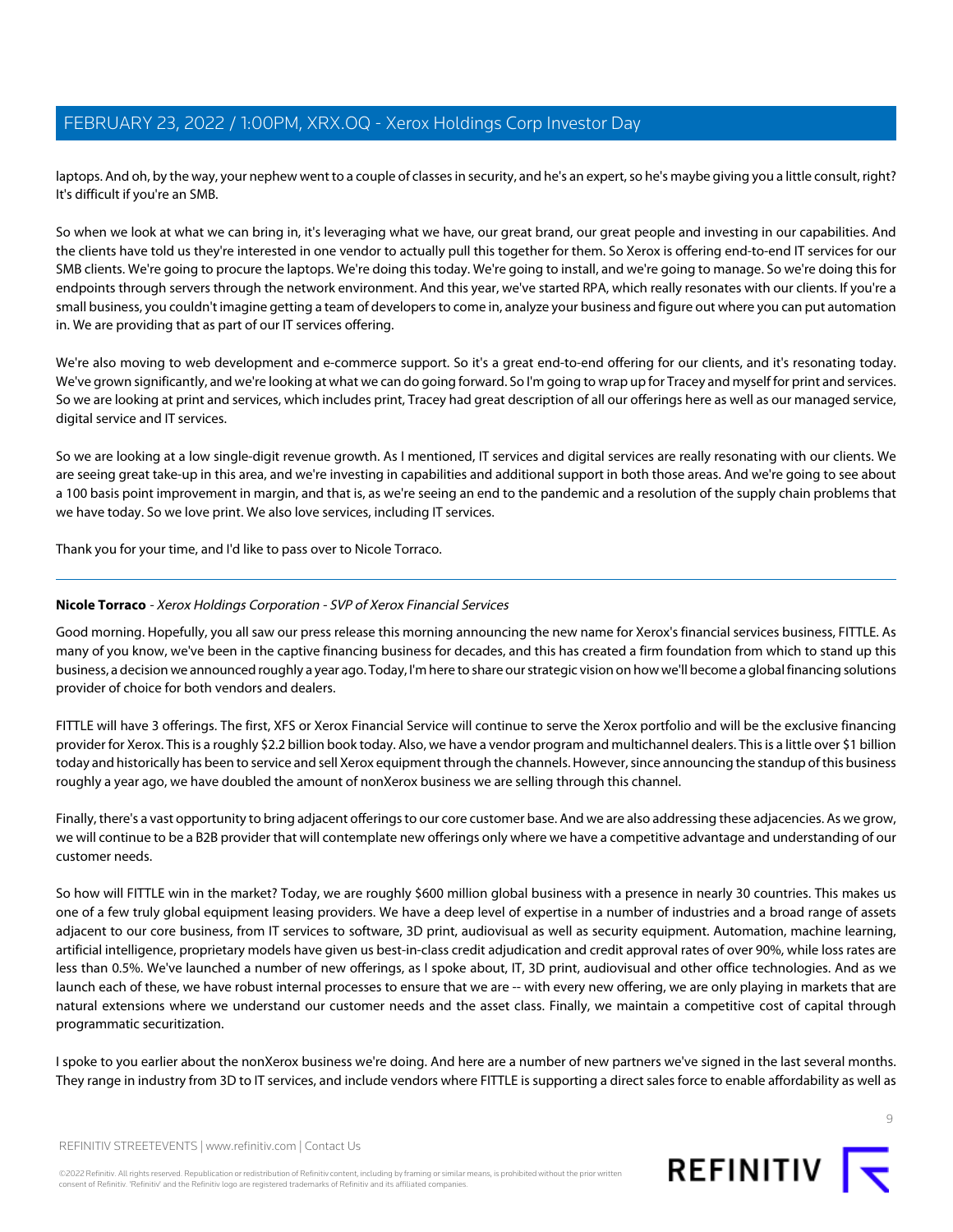laptops. And oh, by the way, your nephew went to a couple of classes in security, and he's an expert, so he's maybe giving you a little consult, right? It's difficult if you're an SMB.

So when we look at what we can bring in, it's leveraging what we have, our great brand, our great people and investing in our capabilities. And the clients have told us they're interested in one vendor to actually pull this together for them. So Xerox is offering end-to-end IT services for our SMB clients. We're going to procure the laptops. We're doing this today. We're going to install, and we're going to manage. So we're doing this for endpoints through servers through the network environment. And this year, we've started RPA, which really resonates with our clients. If you're a small business, you couldn't imagine getting a team of developers to come in, analyze your business and figure out where you can put automation in. We are providing that as part of our IT services offering.

We're also moving to web development and e-commerce support. So it's a great end-to-end offering for our clients, and it's resonating today. We've grown significantly, and we're looking at what we can do going forward. So I'm going to wrap up for Tracey and myself for print and services. So we are looking at print and services, which includes print, Tracey had great description of all our offerings here as well as our managed service, digital service and IT services.

So we are looking at a low single-digit revenue growth. As I mentioned, IT services and digital services are really resonating with our clients. We are seeing great take-up in this area, and we're investing in capabilities and additional support in both those areas. And we're going to see about a 100 basis point improvement in margin, and that is, as we're seeing an end to the pandemic and a resolution of the supply chain problems that we have today. So we love print. We also love services, including IT services.

<span id="page-8-0"></span>Thank you for your time, and I'd like to pass over to Nicole Torraco.

### **Nicole Torraco** - Xerox Holdings Corporation - SVP of Xerox Financial Services

Good morning. Hopefully, you all saw our press release this morning announcing the new name for Xerox's financial services business, FITTLE. As many of you know, we've been in the captive financing business for decades, and this has created a firm foundation from which to stand up this business, a decision we announced roughly a year ago. Today, I'm here to share our strategic vision on how we'll become a global financing solutions provider of choice for both vendors and dealers.

FITTLE will have 3 offerings. The first, XFS or Xerox Financial Service will continue to serve the Xerox portfolio and will be the exclusive financing provider for Xerox. This is a roughly \$2.2 billion book today. Also, we have a vendor program and multichannel dealers. This is a little over \$1 billion today and historically has been to service and sell Xerox equipment through the channels. However, since announcing the standup of this business roughly a year ago, we have doubled the amount of nonXerox business we are selling through this channel.

Finally, there's a vast opportunity to bring adjacent offerings to our core customer base. And we are also addressing these adjacencies. As we grow, we will continue to be a B2B provider that will contemplate new offerings only where we have a competitive advantage and understanding of our customer needs.

So how will FITTLE win in the market? Today, we are roughly \$600 million global business with a presence in nearly 30 countries. This makes us one of a few truly global equipment leasing providers. We have a deep level of expertise in a number of industries and a broad range of assets adjacent to our core business, from IT services to software, 3D print, audiovisual as well as security equipment. Automation, machine learning, artificial intelligence, proprietary models have given us best-in-class credit adjudication and credit approval rates of over 90%, while loss rates are less than 0.5%. We've launched a number of new offerings, as I spoke about, IT, 3D print, audiovisual and other office technologies. And as we launch each of these, we have robust internal processes to ensure that we are -- with every new offering, we are only playing in markets that are natural extensions where we understand our customer needs and the asset class. Finally, we maintain a competitive cost of capital through programmatic securitization.

I spoke to you earlier about the nonXerox business we're doing. And here are a number of new partners we've signed in the last several months. They range in industry from 3D to IT services, and include vendors where FITTLE is supporting a direct sales force to enable affordability as well as

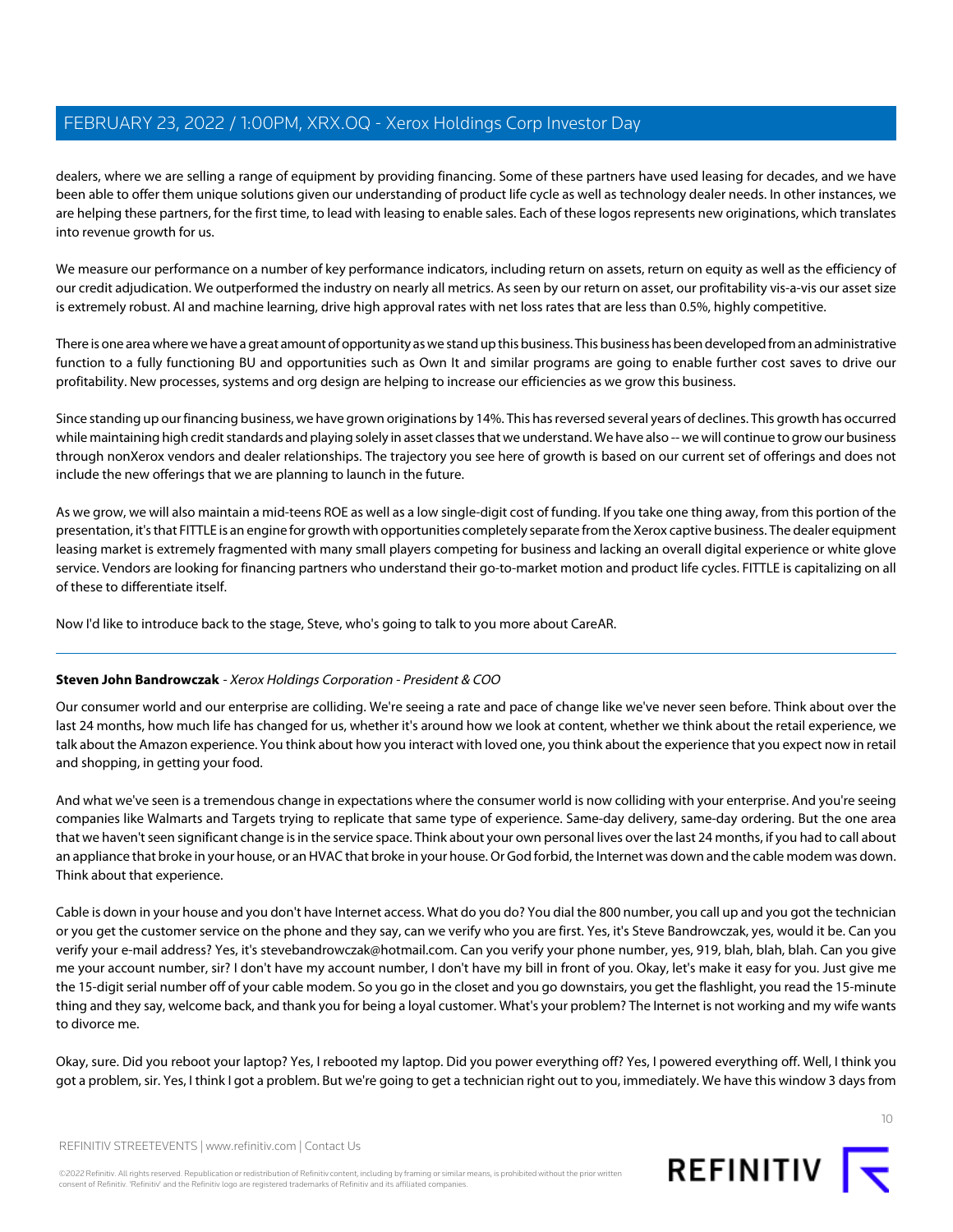dealers, where we are selling a range of equipment by providing financing. Some of these partners have used leasing for decades, and we have been able to offer them unique solutions given our understanding of product life cycle as well as technology dealer needs. In other instances, we are helping these partners, for the first time, to lead with leasing to enable sales. Each of these logos represents new originations, which translates into revenue growth for us.

We measure our performance on a number of key performance indicators, including return on assets, return on equity as well as the efficiency of our credit adjudication. We outperformed the industry on nearly all metrics. As seen by our return on asset, our profitability vis-a-vis our asset size is extremely robust. AI and machine learning, drive high approval rates with net loss rates that are less than 0.5%, highly competitive.

There is one area where we have a great amount of opportunity as we stand up this business. This business has been developed from an administrative function to a fully functioning BU and opportunities such as Own It and similar programs are going to enable further cost saves to drive our profitability. New processes, systems and org design are helping to increase our efficiencies as we grow this business.

Since standing up our financing business, we have grown originations by 14%. This has reversed several years of declines. This growth has occurred while maintaining high credit standards and playing solely in asset classes that we understand. We have also -- we will continue to grow our business through nonXerox vendors and dealer relationships. The trajectory you see here of growth is based on our current set of offerings and does not include the new offerings that we are planning to launch in the future.

As we grow, we will also maintain a mid-teens ROE as well as a low single-digit cost of funding. If you take one thing away, from this portion of the presentation, it's that FITTLE is an engine for growth with opportunities completely separate from the Xerox captive business. The dealer equipment leasing market is extremely fragmented with many small players competing for business and lacking an overall digital experience or white glove service. Vendors are looking for financing partners who understand their go-to-market motion and product life cycles. FITTLE is capitalizing on all of these to differentiate itself.

Now I'd like to introduce back to the stage, Steve, who's going to talk to you more about CareAR.

### **Steven John Bandrowczak** - Xerox Holdings Corporation - President & COO

Our consumer world and our enterprise are colliding. We're seeing a rate and pace of change like we've never seen before. Think about over the last 24 months, how much life has changed for us, whether it's around how we look at content, whether we think about the retail experience, we talk about the Amazon experience. You think about how you interact with loved one, you think about the experience that you expect now in retail and shopping, in getting your food.

And what we've seen is a tremendous change in expectations where the consumer world is now colliding with your enterprise. And you're seeing companies like Walmarts and Targets trying to replicate that same type of experience. Same-day delivery, same-day ordering. But the one area that we haven't seen significant change is in the service space. Think about your own personal lives over the last 24 months, if you had to call about an appliance that broke in your house, or an HVAC that broke in your house. Or God forbid, the Internet was down and the cable modem was down. Think about that experience.

Cable is down in your house and you don't have Internet access. What do you do? You dial the 800 number, you call up and you got the technician or you get the customer service on the phone and they say, can we verify who you are first. Yes, it's Steve Bandrowczak, yes, would it be. Can you verify your e-mail address? Yes, it's stevebandrowczak@hotmail.com. Can you verify your phone number, yes, 919, blah, blah, blah. Can you give me your account number, sir? I don't have my account number, I don't have my bill in front of you. Okay, let's make it easy for you. Just give me the 15-digit serial number off of your cable modem. So you go in the closet and you go downstairs, you get the flashlight, you read the 15-minute thing and they say, welcome back, and thank you for being a loyal customer. What's your problem? The Internet is not working and my wife wants to divorce me.

Okay, sure. Did you reboot your laptop? Yes, I rebooted my laptop. Did you power everything off? Yes, I powered everything off. Well, I think you got a problem, sir. Yes, I think I got a problem. But we're going to get a technician right out to you, immediately. We have this window 3 days from

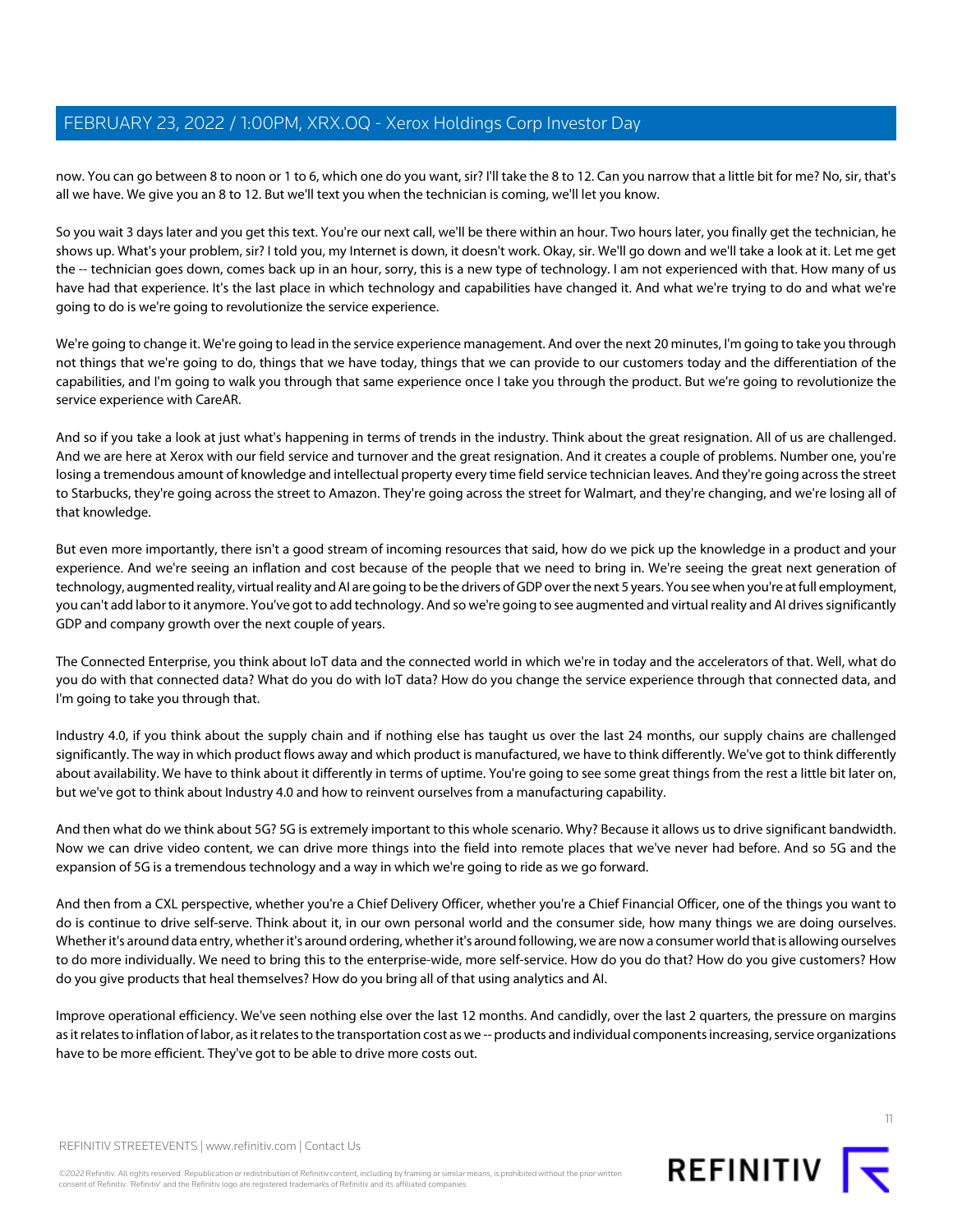now. You can go between 8 to noon or 1 to 6, which one do you want, sir? I'll take the 8 to 12. Can you narrow that a little bit for me? No, sir, that's all we have. We give you an 8 to 12. But we'll text you when the technician is coming, we'll let you know.

So you wait 3 days later and you get this text. You're our next call, we'll be there within an hour. Two hours later, you finally get the technician, he shows up. What's your problem, sir? I told you, my Internet is down, it doesn't work. Okay, sir. We'll go down and we'll take a look at it. Let me get the -- technician goes down, comes back up in an hour, sorry, this is a new type of technology. I am not experienced with that. How many of us have had that experience. It's the last place in which technology and capabilities have changed it. And what we're trying to do and what we're going to do is we're going to revolutionize the service experience.

We're going to change it. We're going to lead in the service experience management. And over the next 20 minutes, I'm going to take you through not things that we're going to do, things that we have today, things that we can provide to our customers today and the differentiation of the capabilities, and I'm going to walk you through that same experience once I take you through the product. But we're going to revolutionize the service experience with CareAR.

And so if you take a look at just what's happening in terms of trends in the industry. Think about the great resignation. All of us are challenged. And we are here at Xerox with our field service and turnover and the great resignation. And it creates a couple of problems. Number one, you're losing a tremendous amount of knowledge and intellectual property every time field service technician leaves. And they're going across the street to Starbucks, they're going across the street to Amazon. They're going across the street for Walmart, and they're changing, and we're losing all of that knowledge.

But even more importantly, there isn't a good stream of incoming resources that said, how do we pick up the knowledge in a product and your experience. And we're seeing an inflation and cost because of the people that we need to bring in. We're seeing the great next generation of technology, augmented reality, virtual reality and AI are going to be the drivers of GDP over the next 5 years. You see when you're at full employment, you can't add labor to it anymore. You've got to add technology. And so we're going to see augmented and virtual reality and AI drives significantly GDP and company growth over the next couple of years.

The Connected Enterprise, you think about IoT data and the connected world in which we're in today and the accelerators of that. Well, what do you do with that connected data? What do you do with IoT data? How do you change the service experience through that connected data, and I'm going to take you through that.

Industry 4.0, if you think about the supply chain and if nothing else has taught us over the last 24 months, our supply chains are challenged significantly. The way in which product flows away and which product is manufactured, we have to think differently. We've got to think differently about availability. We have to think about it differently in terms of uptime. You're going to see some great things from the rest a little bit later on, but we've got to think about Industry 4.0 and how to reinvent ourselves from a manufacturing capability.

And then what do we think about 5G? 5G is extremely important to this whole scenario. Why? Because it allows us to drive significant bandwidth. Now we can drive video content, we can drive more things into the field into remote places that we've never had before. And so 5G and the expansion of 5G is a tremendous technology and a way in which we're going to ride as we go forward.

And then from a CXL perspective, whether you're a Chief Delivery Officer, whether you're a Chief Financial Officer, one of the things you want to do is continue to drive self-serve. Think about it, in our own personal world and the consumer side, how many things we are doing ourselves. Whether it's around data entry, whether it's around ordering, whether it's around following, we are now a consumer world that is allowing ourselves to do more individually. We need to bring this to the enterprise-wide, more self-service. How do you do that? How do you give customers? How do you give products that heal themselves? How do you bring all of that using analytics and AI.

Improve operational efficiency. We've seen nothing else over the last 12 months. And candidly, over the last 2 quarters, the pressure on margins as it relates to inflation of labor, as it relates to the transportation cost as we -- products and individual components increasing, service organizations have to be more efficient. They've got to be able to drive more costs out.



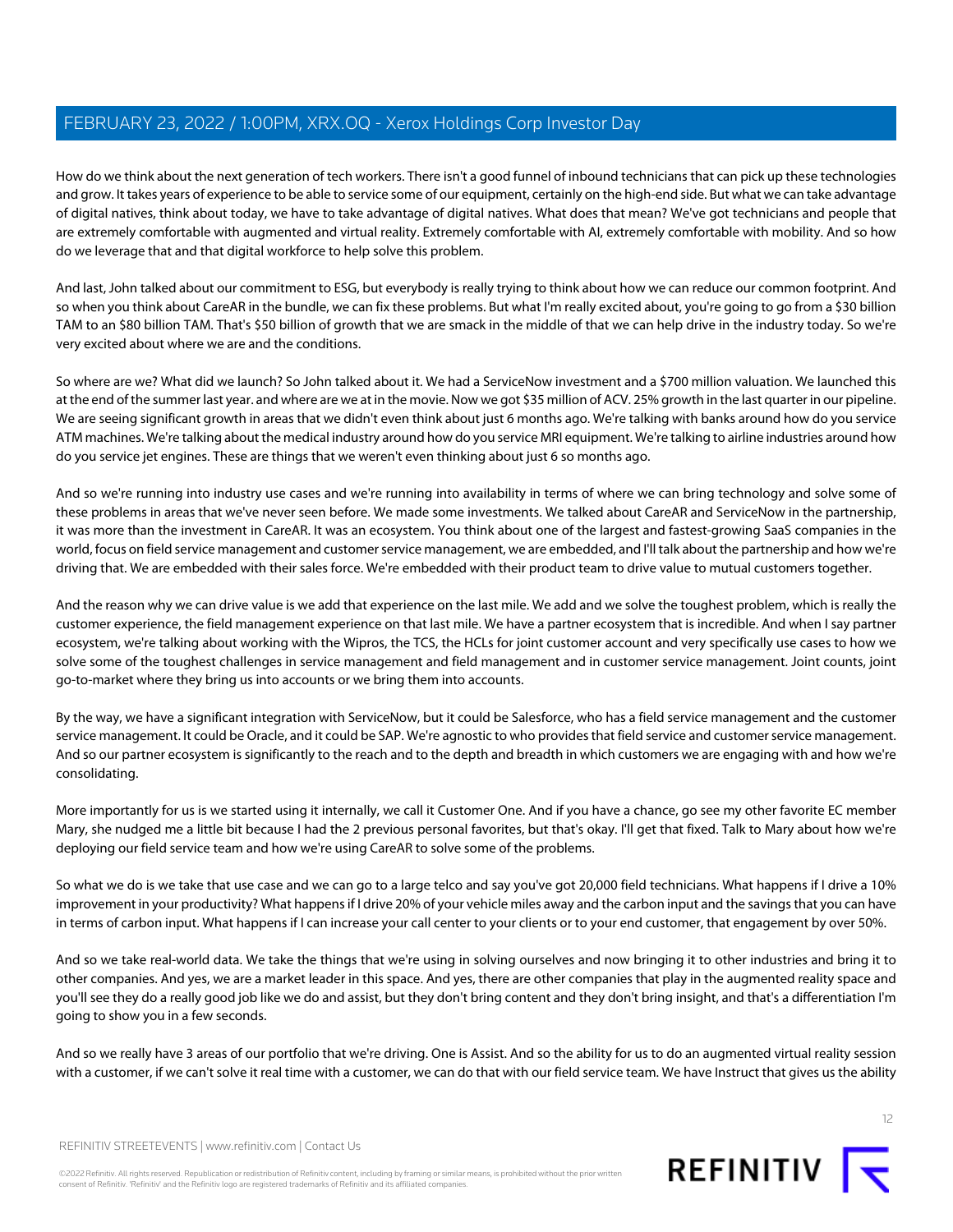How do we think about the next generation of tech workers. There isn't a good funnel of inbound technicians that can pick up these technologies and grow. It takes years of experience to be able to service some of our equipment, certainly on the high-end side. But what we can take advantage of digital natives, think about today, we have to take advantage of digital natives. What does that mean? We've got technicians and people that are extremely comfortable with augmented and virtual reality. Extremely comfortable with AI, extremely comfortable with mobility. And so how do we leverage that and that digital workforce to help solve this problem.

And last, John talked about our commitment to ESG, but everybody is really trying to think about how we can reduce our common footprint. And so when you think about CareAR in the bundle, we can fix these problems. But what I'm really excited about, you're going to go from a \$30 billion TAM to an \$80 billion TAM. That's \$50 billion of growth that we are smack in the middle of that we can help drive in the industry today. So we're very excited about where we are and the conditions.

So where are we? What did we launch? So John talked about it. We had a ServiceNow investment and a \$700 million valuation. We launched this at the end of the summer last year. and where are we at in the movie. Now we got \$35 million of ACV. 25% growth in the last quarter in our pipeline. We are seeing significant growth in areas that we didn't even think about just 6 months ago. We're talking with banks around how do you service ATM machines. We're talking about the medical industry around how do you service MRI equipment. We're talking to airline industries around how do you service jet engines. These are things that we weren't even thinking about just 6 so months ago.

And so we're running into industry use cases and we're running into availability in terms of where we can bring technology and solve some of these problems in areas that we've never seen before. We made some investments. We talked about CareAR and ServiceNow in the partnership, it was more than the investment in CareAR. It was an ecosystem. You think about one of the largest and fastest-growing SaaS companies in the world, focus on field service management and customer service management, we are embedded, and I'll talk about the partnership and how we're driving that. We are embedded with their sales force. We're embedded with their product team to drive value to mutual customers together.

And the reason why we can drive value is we add that experience on the last mile. We add and we solve the toughest problem, which is really the customer experience, the field management experience on that last mile. We have a partner ecosystem that is incredible. And when I say partner ecosystem, we're talking about working with the Wipros, the TCS, the HCLs for joint customer account and very specifically use cases to how we solve some of the toughest challenges in service management and field management and in customer service management. Joint counts, joint go-to-market where they bring us into accounts or we bring them into accounts.

By the way, we have a significant integration with ServiceNow, but it could be Salesforce, who has a field service management and the customer service management. It could be Oracle, and it could be SAP. We're agnostic to who provides that field service and customer service management. And so our partner ecosystem is significantly to the reach and to the depth and breadth in which customers we are engaging with and how we're consolidating.

More importantly for us is we started using it internally, we call it Customer One. And if you have a chance, go see my other favorite EC member Mary, she nudged me a little bit because I had the 2 previous personal favorites, but that's okay. I'll get that fixed. Talk to Mary about how we're deploying our field service team and how we're using CareAR to solve some of the problems.

So what we do is we take that use case and we can go to a large telco and say you've got 20,000 field technicians. What happens if I drive a 10% improvement in your productivity? What happens if I drive 20% of your vehicle miles away and the carbon input and the savings that you can have in terms of carbon input. What happens if I can increase your call center to your clients or to your end customer, that engagement by over 50%.

And so we take real-world data. We take the things that we're using in solving ourselves and now bringing it to other industries and bring it to other companies. And yes, we are a market leader in this space. And yes, there are other companies that play in the augmented reality space and you'll see they do a really good job like we do and assist, but they don't bring content and they don't bring insight, and that's a differentiation I'm going to show you in a few seconds.

And so we really have 3 areas of our portfolio that we're driving. One is Assist. And so the ability for us to do an augmented virtual reality session with a customer, if we can't solve it real time with a customer, we can do that with our field service team. We have Instruct that gives us the ability

REFINITIV STREETEVENTS | [www.refinitiv.com](https://www.refinitiv.com/) | [Contact Us](https://www.refinitiv.com/en/contact-us)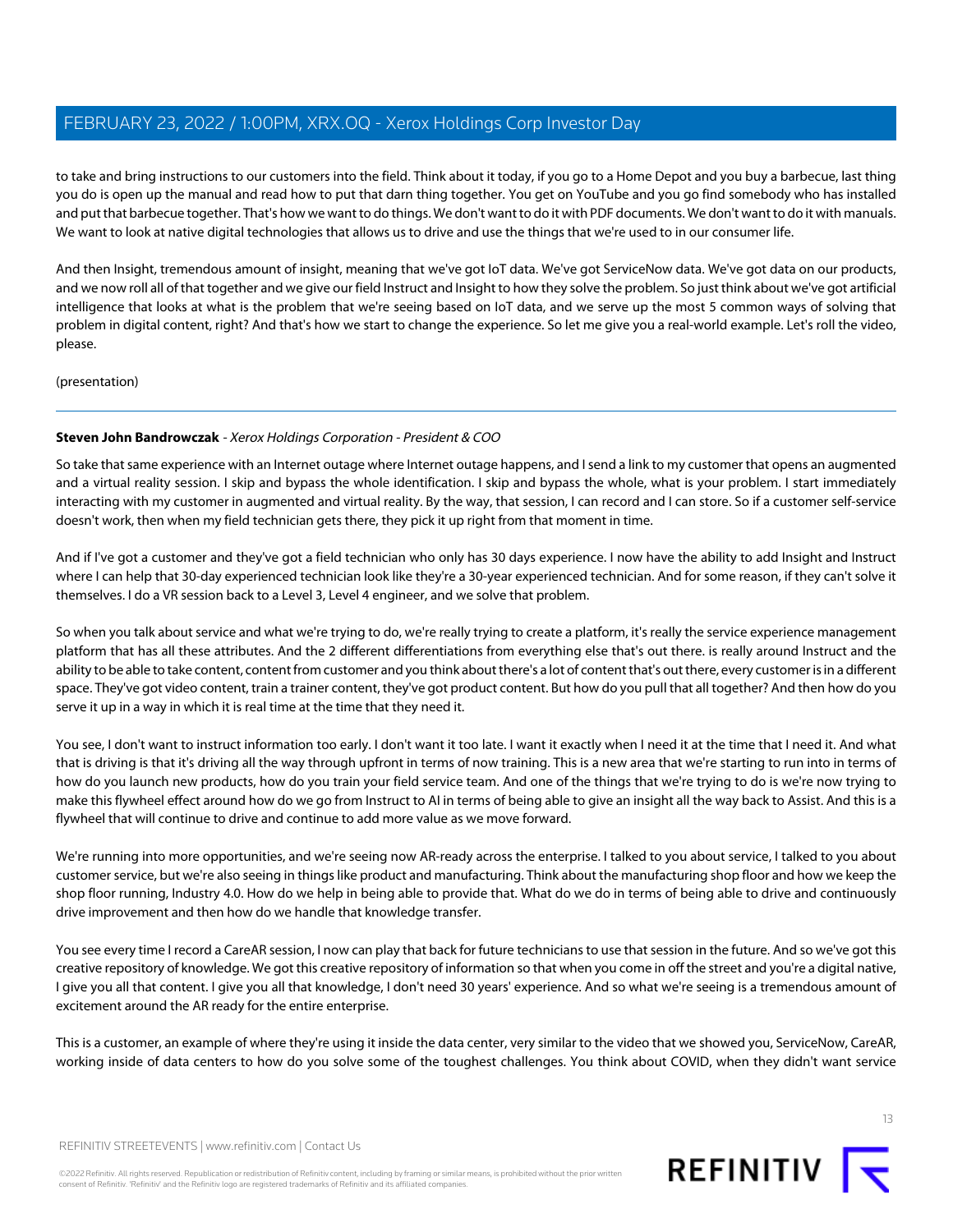to take and bring instructions to our customers into the field. Think about it today, if you go to a Home Depot and you buy a barbecue, last thing you do is open up the manual and read how to put that darn thing together. You get on YouTube and you go find somebody who has installed and put that barbecue together. That's how we want to do things. We don't want to do it with PDF documents. We don't want to do it with manuals. We want to look at native digital technologies that allows us to drive and use the things that we're used to in our consumer life.

And then Insight, tremendous amount of insight, meaning that we've got IoT data. We've got ServiceNow data. We've got data on our products, and we now roll all of that together and we give our field Instruct and Insight to how they solve the problem. So just think about we've got artificial intelligence that looks at what is the problem that we're seeing based on IoT data, and we serve up the most 5 common ways of solving that problem in digital content, right? And that's how we start to change the experience. So let me give you a real-world example. Let's roll the video, please.

(presentation)

### **Steven John Bandrowczak** - Xerox Holdings Corporation - President & COO

So take that same experience with an Internet outage where Internet outage happens, and I send a link to my customer that opens an augmented and a virtual reality session. I skip and bypass the whole identification. I skip and bypass the whole, what is your problem. I start immediately interacting with my customer in augmented and virtual reality. By the way, that session, I can record and I can store. So if a customer self-service doesn't work, then when my field technician gets there, they pick it up right from that moment in time.

And if I've got a customer and they've got a field technician who only has 30 days experience. I now have the ability to add Insight and Instruct where I can help that 30-day experienced technician look like they're a 30-year experienced technician. And for some reason, if they can't solve it themselves. I do a VR session back to a Level 3, Level 4 engineer, and we solve that problem.

So when you talk about service and what we're trying to do, we're really trying to create a platform, it's really the service experience management platform that has all these attributes. And the 2 different differentiations from everything else that's out there. is really around Instruct and the ability to be able to take content, content from customer and you think about there's a lot of content that's out there, every customer is in a different space. They've got video content, train a trainer content, they've got product content. But how do you pull that all together? And then how do you serve it up in a way in which it is real time at the time that they need it.

You see, I don't want to instruct information too early. I don't want it too late. I want it exactly when I need it at the time that I need it. And what that is driving is that it's driving all the way through upfront in terms of now training. This is a new area that we're starting to run into in terms of how do you launch new products, how do you train your field service team. And one of the things that we're trying to do is we're now trying to make this flywheel effect around how do we go from Instruct to AI in terms of being able to give an insight all the way back to Assist. And this is a flywheel that will continue to drive and continue to add more value as we move forward.

We're running into more opportunities, and we're seeing now AR-ready across the enterprise. I talked to you about service, I talked to you about customer service, but we're also seeing in things like product and manufacturing. Think about the manufacturing shop floor and how we keep the shop floor running, Industry 4.0. How do we help in being able to provide that. What do we do in terms of being able to drive and continuously drive improvement and then how do we handle that knowledge transfer.

You see every time I record a CareAR session, I now can play that back for future technicians to use that session in the future. And so we've got this creative repository of knowledge. We got this creative repository of information so that when you come in off the street and you're a digital native, I give you all that content. I give you all that knowledge, I don't need 30 years' experience. And so what we're seeing is a tremendous amount of excitement around the AR ready for the entire enterprise.

This is a customer, an example of where they're using it inside the data center, very similar to the video that we showed you, ServiceNow, CareAR, working inside of data centers to how do you solve some of the toughest challenges. You think about COVID, when they didn't want service



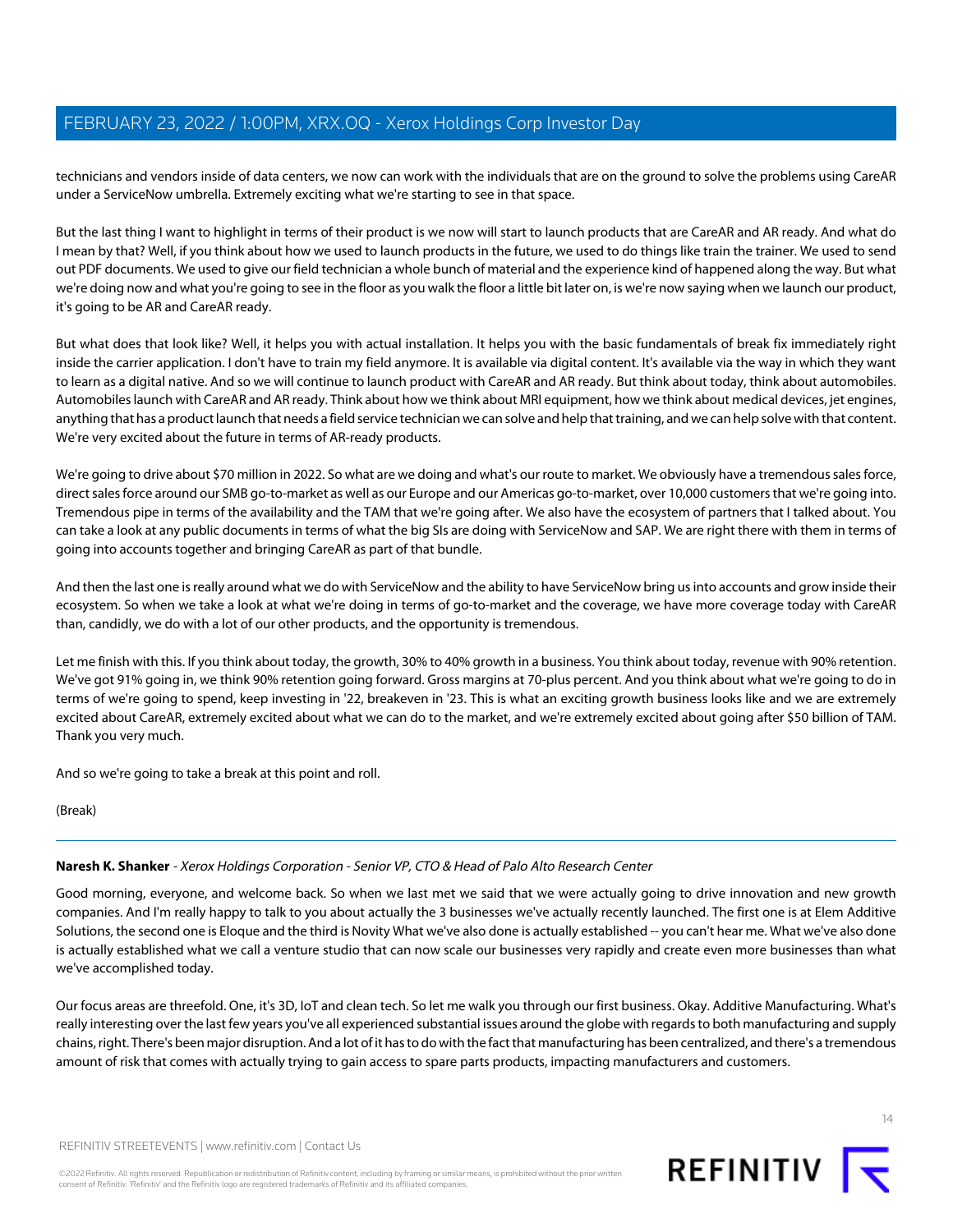technicians and vendors inside of data centers, we now can work with the individuals that are on the ground to solve the problems using CareAR under a ServiceNow umbrella. Extremely exciting what we're starting to see in that space.

But the last thing I want to highlight in terms of their product is we now will start to launch products that are CareAR and AR ready. And what do I mean by that? Well, if you think about how we used to launch products in the future, we used to do things like train the trainer. We used to send out PDF documents. We used to give our field technician a whole bunch of material and the experience kind of happened along the way. But what we're doing now and what you're going to see in the floor as you walk the floor a little bit later on, is we're now saying when we launch our product, it's going to be AR and CareAR ready.

But what does that look like? Well, it helps you with actual installation. It helps you with the basic fundamentals of break fix immediately right inside the carrier application. I don't have to train my field anymore. It is available via digital content. It's available via the way in which they want to learn as a digital native. And so we will continue to launch product with CareAR and AR ready. But think about today, think about automobiles. Automobiles launch with CareAR and AR ready. Think about how we think about MRI equipment, how we think about medical devices, jet engines, anything that has a product launch that needs a field service technician we can solve and help that training, and we can help solve with that content. We're very excited about the future in terms of AR-ready products.

We're going to drive about \$70 million in 2022. So what are we doing and what's our route to market. We obviously have a tremendous sales force, direct sales force around our SMB go-to-market as well as our Europe and our Americas go-to-market, over 10,000 customers that we're going into. Tremendous pipe in terms of the availability and the TAM that we're going after. We also have the ecosystem of partners that I talked about. You can take a look at any public documents in terms of what the big SIs are doing with ServiceNow and SAP. We are right there with them in terms of going into accounts together and bringing CareAR as part of that bundle.

And then the last one is really around what we do with ServiceNow and the ability to have ServiceNow bring us into accounts and grow inside their ecosystem. So when we take a look at what we're doing in terms of go-to-market and the coverage, we have more coverage today with CareAR than, candidly, we do with a lot of our other products, and the opportunity is tremendous.

Let me finish with this. If you think about today, the growth, 30% to 40% growth in a business. You think about today, revenue with 90% retention. We've got 91% going in, we think 90% retention going forward. Gross margins at 70-plus percent. And you think about what we're going to do in terms of we're going to spend, keep investing in '22, breakeven in '23. This is what an exciting growth business looks like and we are extremely excited about CareAR, extremely excited about what we can do to the market, and we're extremely excited about going after \$50 billion of TAM. Thank you very much.

<span id="page-13-0"></span>And so we're going to take a break at this point and roll.

(Break)

### **Naresh K. Shanker** - Xerox Holdings Corporation - Senior VP, CTO & Head of Palo Alto Research Center

Good morning, everyone, and welcome back. So when we last met we said that we were actually going to drive innovation and new growth companies. And I'm really happy to talk to you about actually the 3 businesses we've actually recently launched. The first one is at Elem Additive Solutions, the second one is Eloque and the third is Novity What we've also done is actually established -- you can't hear me. What we've also done is actually established what we call a venture studio that can now scale our businesses very rapidly and create even more businesses than what we've accomplished today.

Our focus areas are threefold. One, it's 3D, IoT and clean tech. So let me walk you through our first business. Okay. Additive Manufacturing. What's really interesting over the last few years you've all experienced substantial issues around the globe with regards to both manufacturing and supply chains, right. There's been major disruption. And a lot of it has to do with the fact that manufacturing has been centralized, and there's a tremendous amount of risk that comes with actually trying to gain access to spare parts products, impacting manufacturers and customers.

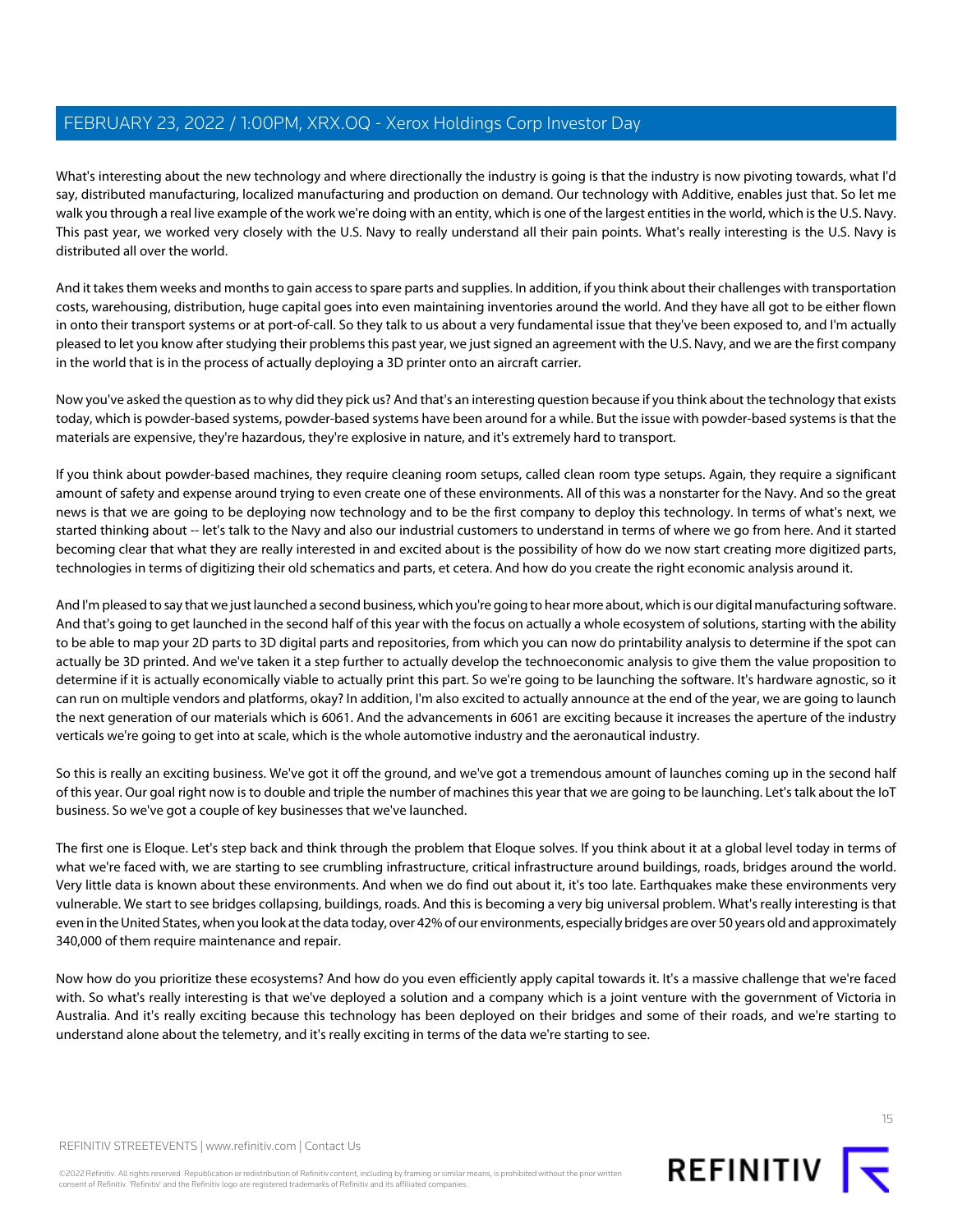What's interesting about the new technology and where directionally the industry is going is that the industry is now pivoting towards, what I'd say, distributed manufacturing, localized manufacturing and production on demand. Our technology with Additive, enables just that. So let me walk you through a real live example of the work we're doing with an entity, which is one of the largest entities in the world, which is the U.S. Navy. This past year, we worked very closely with the U.S. Navy to really understand all their pain points. What's really interesting is the U.S. Navy is distributed all over the world.

And it takes them weeks and months to gain access to spare parts and supplies. In addition, if you think about their challenges with transportation costs, warehousing, distribution, huge capital goes into even maintaining inventories around the world. And they have all got to be either flown in onto their transport systems or at port-of-call. So they talk to us about a very fundamental issue that they've been exposed to, and I'm actually pleased to let you know after studying their problems this past year, we just signed an agreement with the U.S. Navy, and we are the first company in the world that is in the process of actually deploying a 3D printer onto an aircraft carrier.

Now you've asked the question as to why did they pick us? And that's an interesting question because if you think about the technology that exists today, which is powder-based systems, powder-based systems have been around for a while. But the issue with powder-based systems is that the materials are expensive, they're hazardous, they're explosive in nature, and it's extremely hard to transport.

If you think about powder-based machines, they require cleaning room setups, called clean room type setups. Again, they require a significant amount of safety and expense around trying to even create one of these environments. All of this was a nonstarter for the Navy. And so the great news is that we are going to be deploying now technology and to be the first company to deploy this technology. In terms of what's next, we started thinking about -- let's talk to the Navy and also our industrial customers to understand in terms of where we go from here. And it started becoming clear that what they are really interested in and excited about is the possibility of how do we now start creating more digitized parts, technologies in terms of digitizing their old schematics and parts, et cetera. And how do you create the right economic analysis around it.

And I'm pleased to say that we just launched a second business, which you're going to hear more about, which is our digital manufacturing software. And that's going to get launched in the second half of this year with the focus on actually a whole ecosystem of solutions, starting with the ability to be able to map your 2D parts to 3D digital parts and repositories, from which you can now do printability analysis to determine if the spot can actually be 3D printed. And we've taken it a step further to actually develop the technoeconomic analysis to give them the value proposition to determine if it is actually economically viable to actually print this part. So we're going to be launching the software. It's hardware agnostic, so it can run on multiple vendors and platforms, okay? In addition, I'm also excited to actually announce at the end of the year, we are going to launch the next generation of our materials which is 6061. And the advancements in 6061 are exciting because it increases the aperture of the industry verticals we're going to get into at scale, which is the whole automotive industry and the aeronautical industry.

So this is really an exciting business. We've got it off the ground, and we've got a tremendous amount of launches coming up in the second half of this year. Our goal right now is to double and triple the number of machines this year that we are going to be launching. Let's talk about the IoT business. So we've got a couple of key businesses that we've launched.

The first one is Eloque. Let's step back and think through the problem that Eloque solves. If you think about it at a global level today in terms of what we're faced with, we are starting to see crumbling infrastructure, critical infrastructure around buildings, roads, bridges around the world. Very little data is known about these environments. And when we do find out about it, it's too late. Earthquakes make these environments very vulnerable. We start to see bridges collapsing, buildings, roads. And this is becoming a very big universal problem. What's really interesting is that even in the United States, when you look at the data today, over 42% of our environments, especially bridges are over 50 years old and approximately 340,000 of them require maintenance and repair.

Now how do you prioritize these ecosystems? And how do you even efficiently apply capital towards it. It's a massive challenge that we're faced with. So what's really interesting is that we've deployed a solution and a company which is a joint venture with the government of Victoria in Australia. And it's really exciting because this technology has been deployed on their bridges and some of their roads, and we're starting to understand alone about the telemetry, and it's really exciting in terms of the data we're starting to see.

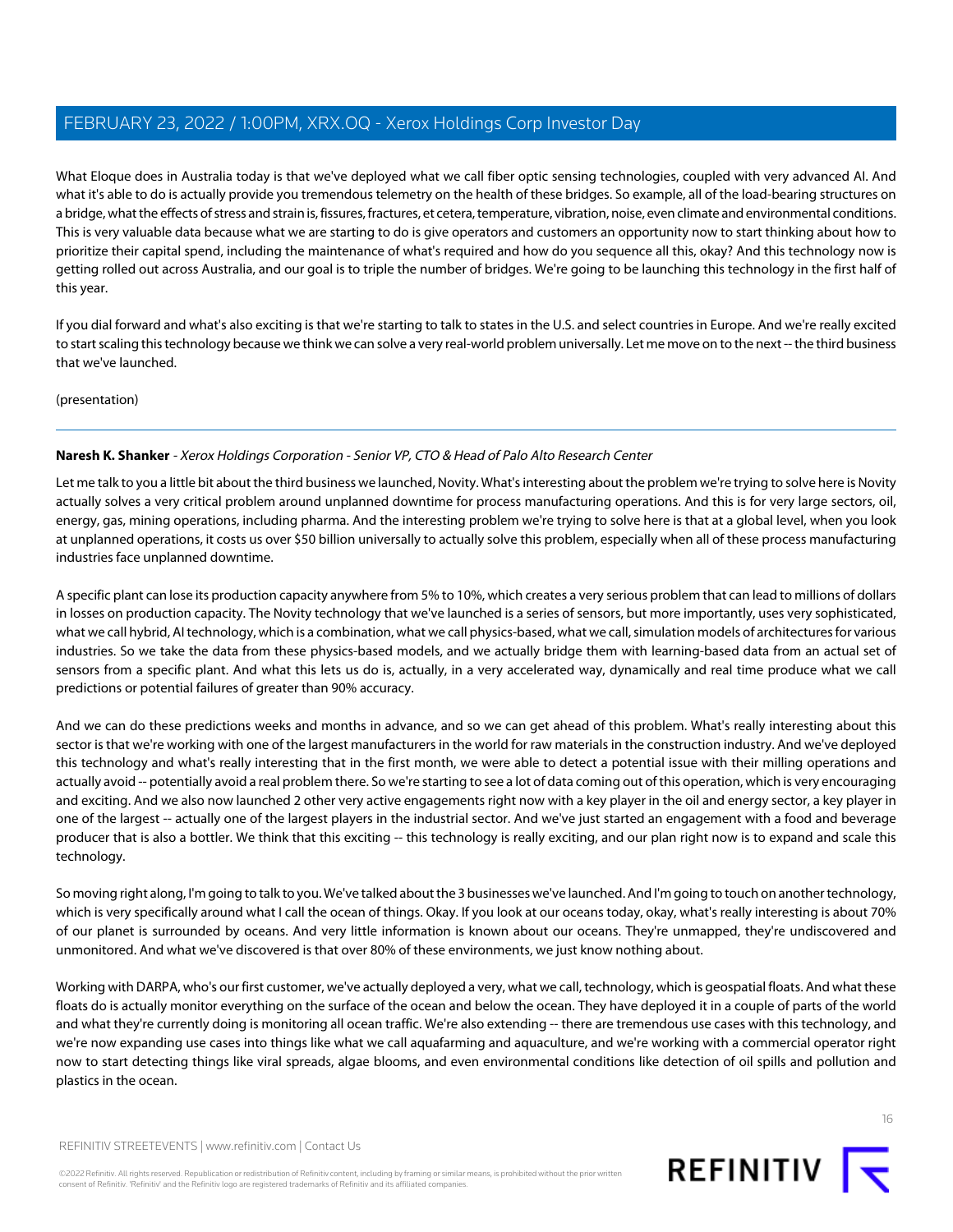What Eloque does in Australia today is that we've deployed what we call fiber optic sensing technologies, coupled with very advanced AI. And what it's able to do is actually provide you tremendous telemetry on the health of these bridges. So example, all of the load-bearing structures on a bridge, what the effects of stress and strain is, fissures, fractures, et cetera, temperature, vibration, noise, even climate and environmental conditions. This is very valuable data because what we are starting to do is give operators and customers an opportunity now to start thinking about how to prioritize their capital spend, including the maintenance of what's required and how do you sequence all this, okay? And this technology now is getting rolled out across Australia, and our goal is to triple the number of bridges. We're going to be launching this technology in the first half of this year.

If you dial forward and what's also exciting is that we're starting to talk to states in the U.S. and select countries in Europe. And we're really excited to start scaling this technology because we think we can solve a very real-world problem universally. Let me move on to the next -- the third business that we've launched.

(presentation)

### **Naresh K. Shanker** - Xerox Holdings Corporation - Senior VP, CTO & Head of Palo Alto Research Center

Let me talk to you a little bit about the third business we launched, Novity. What's interesting about the problem we're trying to solve here is Novity actually solves a very critical problem around unplanned downtime for process manufacturing operations. And this is for very large sectors, oil, energy, gas, mining operations, including pharma. And the interesting problem we're trying to solve here is that at a global level, when you look at unplanned operations, it costs us over \$50 billion universally to actually solve this problem, especially when all of these process manufacturing industries face unplanned downtime.

A specific plant can lose its production capacity anywhere from 5% to 10%, which creates a very serious problem that can lead to millions of dollars in losses on production capacity. The Novity technology that we've launched is a series of sensors, but more importantly, uses very sophisticated, what we call hybrid, AI technology, which is a combination, what we call physics-based, what we call, simulation models of architectures for various industries. So we take the data from these physics-based models, and we actually bridge them with learning-based data from an actual set of sensors from a specific plant. And what this lets us do is, actually, in a very accelerated way, dynamically and real time produce what we call predictions or potential failures of greater than 90% accuracy.

And we can do these predictions weeks and months in advance, and so we can get ahead of this problem. What's really interesting about this sector is that we're working with one of the largest manufacturers in the world for raw materials in the construction industry. And we've deployed this technology and what's really interesting that in the first month, we were able to detect a potential issue with their milling operations and actually avoid -- potentially avoid a real problem there. So we're starting to see a lot of data coming out of this operation, which is very encouraging and exciting. And we also now launched 2 other very active engagements right now with a key player in the oil and energy sector, a key player in one of the largest -- actually one of the largest players in the industrial sector. And we've just started an engagement with a food and beverage producer that is also a bottler. We think that this exciting -- this technology is really exciting, and our plan right now is to expand and scale this technology.

So moving right along, I'm going to talk to you. We've talked about the 3 businesses we've launched. And I'm going to touch on another technology, which is very specifically around what I call the ocean of things. Okay. If you look at our oceans today, okay, what's really interesting is about 70% of our planet is surrounded by oceans. And very little information is known about our oceans. They're unmapped, they're undiscovered and unmonitored. And what we've discovered is that over 80% of these environments, we just know nothing about.

Working with DARPA, who's our first customer, we've actually deployed a very, what we call, technology, which is geospatial floats. And what these floats do is actually monitor everything on the surface of the ocean and below the ocean. They have deployed it in a couple of parts of the world and what they're currently doing is monitoring all ocean traffic. We're also extending -- there are tremendous use cases with this technology, and we're now expanding use cases into things like what we call aquafarming and aquaculture, and we're working with a commercial operator right now to start detecting things like viral spreads, algae blooms, and even environmental conditions like detection of oil spills and pollution and plastics in the ocean.

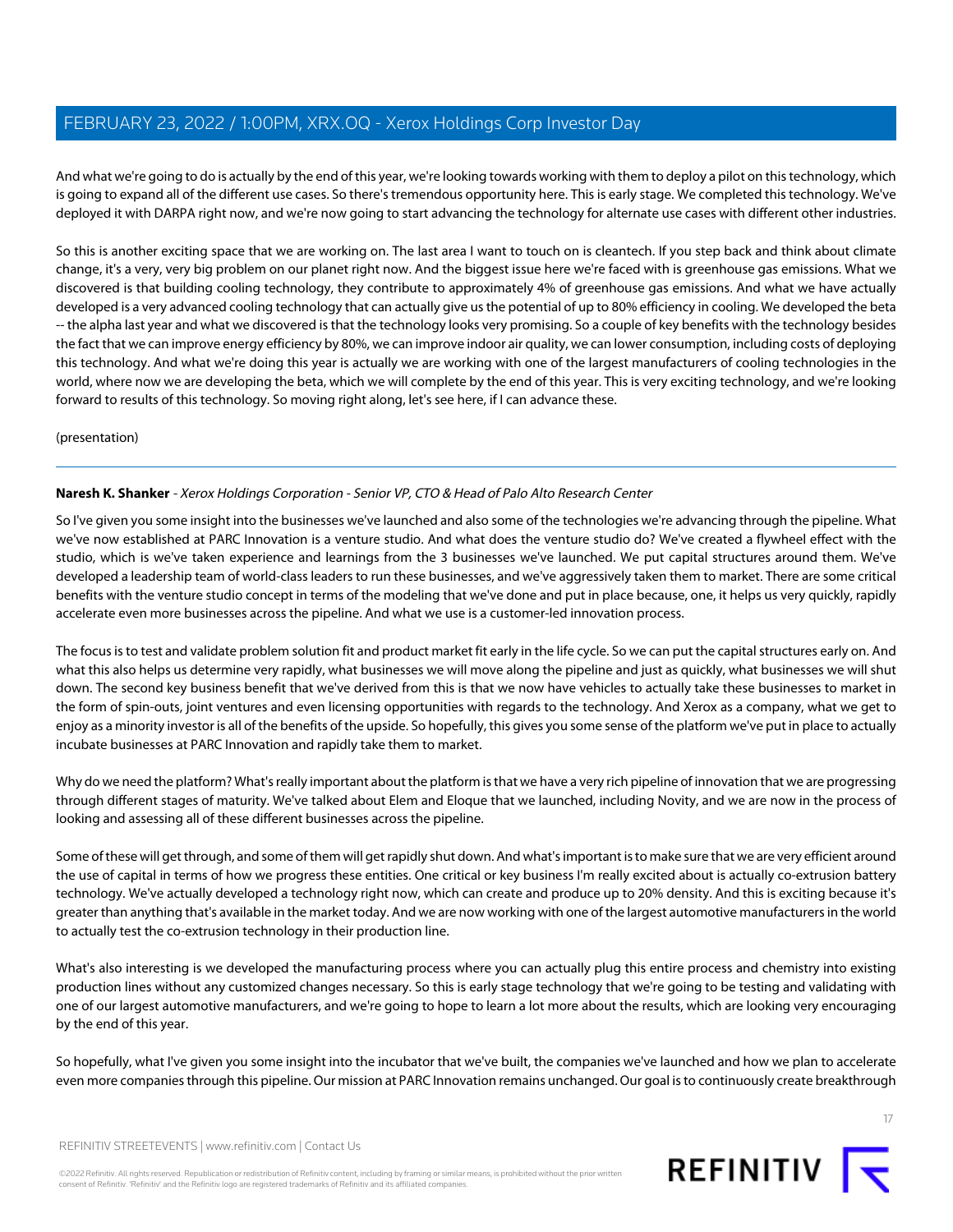And what we're going to do is actually by the end of this year, we're looking towards working with them to deploy a pilot on this technology, which is going to expand all of the different use cases. So there's tremendous opportunity here. This is early stage. We completed this technology. We've deployed it with DARPA right now, and we're now going to start advancing the technology for alternate use cases with different other industries.

So this is another exciting space that we are working on. The last area I want to touch on is cleantech. If you step back and think about climate change, it's a very, very big problem on our planet right now. And the biggest issue here we're faced with is greenhouse gas emissions. What we discovered is that building cooling technology, they contribute to approximately 4% of greenhouse gas emissions. And what we have actually developed is a very advanced cooling technology that can actually give us the potential of up to 80% efficiency in cooling. We developed the beta -- the alpha last year and what we discovered is that the technology looks very promising. So a couple of key benefits with the technology besides the fact that we can improve energy efficiency by 80%, we can improve indoor air quality, we can lower consumption, including costs of deploying this technology. And what we're doing this year is actually we are working with one of the largest manufacturers of cooling technologies in the world, where now we are developing the beta, which we will complete by the end of this year. This is very exciting technology, and we're looking forward to results of this technology. So moving right along, let's see here, if I can advance these.

(presentation)

### **Naresh K. Shanker** - Xerox Holdings Corporation - Senior VP, CTO & Head of Palo Alto Research Center

So I've given you some insight into the businesses we've launched and also some of the technologies we're advancing through the pipeline. What we've now established at PARC Innovation is a venture studio. And what does the venture studio do? We've created a flywheel effect with the studio, which is we've taken experience and learnings from the 3 businesses we've launched. We put capital structures around them. We've developed a leadership team of world-class leaders to run these businesses, and we've aggressively taken them to market. There are some critical benefits with the venture studio concept in terms of the modeling that we've done and put in place because, one, it helps us very quickly, rapidly accelerate even more businesses across the pipeline. And what we use is a customer-led innovation process.

The focus is to test and validate problem solution fit and product market fit early in the life cycle. So we can put the capital structures early on. And what this also helps us determine very rapidly, what businesses we will move along the pipeline and just as quickly, what businesses we will shut down. The second key business benefit that we've derived from this is that we now have vehicles to actually take these businesses to market in the form of spin-outs, joint ventures and even licensing opportunities with regards to the technology. And Xerox as a company, what we get to enjoy as a minority investor is all of the benefits of the upside. So hopefully, this gives you some sense of the platform we've put in place to actually incubate businesses at PARC Innovation and rapidly take them to market.

Why do we need the platform? What's really important about the platform is that we have a very rich pipeline of innovation that we are progressing through different stages of maturity. We've talked about Elem and Eloque that we launched, including Novity, and we are now in the process of looking and assessing all of these different businesses across the pipeline.

Some of these will get through, and some of them will get rapidly shut down. And what's important is to make sure that we are very efficient around the use of capital in terms of how we progress these entities. One critical or key business I'm really excited about is actually co-extrusion battery technology. We've actually developed a technology right now, which can create and produce up to 20% density. And this is exciting because it's greater than anything that's available in the market today. And we are now working with one of the largest automotive manufacturers in the world to actually test the co-extrusion technology in their production line.

What's also interesting is we developed the manufacturing process where you can actually plug this entire process and chemistry into existing production lines without any customized changes necessary. So this is early stage technology that we're going to be testing and validating with one of our largest automotive manufacturers, and we're going to hope to learn a lot more about the results, which are looking very encouraging by the end of this year.

So hopefully, what I've given you some insight into the incubator that we've built, the companies we've launched and how we plan to accelerate even more companies through this pipeline. Our mission at PARC Innovation remains unchanged. Our goal is to continuously create breakthrough

REFINITIV STREETEVENTS | [www.refinitiv.com](https://www.refinitiv.com/) | [Contact Us](https://www.refinitiv.com/en/contact-us)

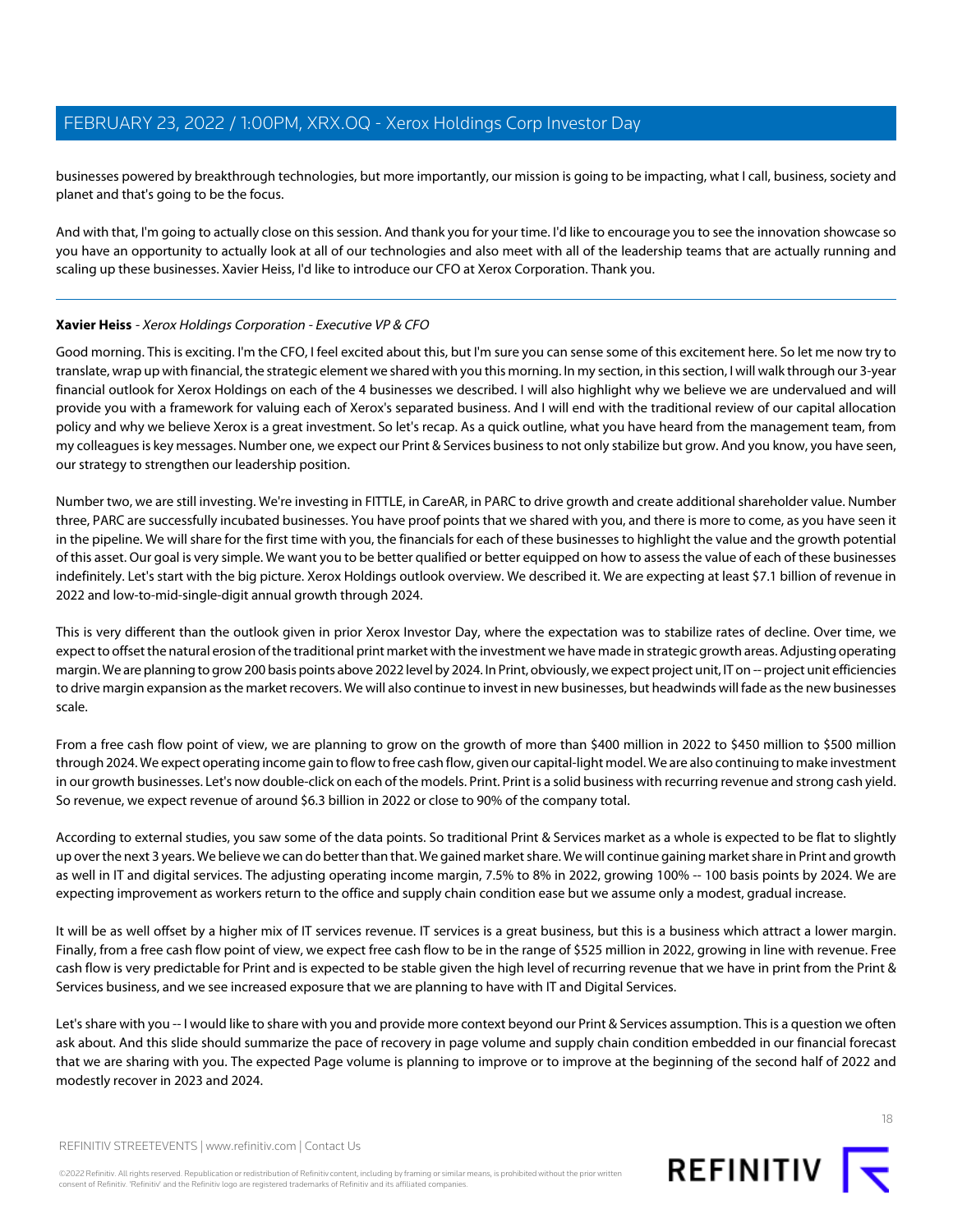businesses powered by breakthrough technologies, but more importantly, our mission is going to be impacting, what I call, business, society and planet and that's going to be the focus.

And with that, I'm going to actually close on this session. And thank you for your time. I'd like to encourage you to see the innovation showcase so you have an opportunity to actually look at all of our technologies and also meet with all of the leadership teams that are actually running and scaling up these businesses. Xavier Heiss, I'd like to introduce our CFO at Xerox Corporation. Thank you.

### <span id="page-17-0"></span>**Xavier Heiss** - Xerox Holdings Corporation - Executive VP & CFO

Good morning. This is exciting. I'm the CFO, I feel excited about this, but I'm sure you can sense some of this excitement here. So let me now try to translate, wrap up with financial, the strategic element we shared with you this morning. In my section, in this section, I will walk through our 3-year financial outlook for Xerox Holdings on each of the 4 businesses we described. I will also highlight why we believe we are undervalued and will provide you with a framework for valuing each of Xerox's separated business. And I will end with the traditional review of our capital allocation policy and why we believe Xerox is a great investment. So let's recap. As a quick outline, what you have heard from the management team, from my colleagues is key messages. Number one, we expect our Print & Services business to not only stabilize but grow. And you know, you have seen, our strategy to strengthen our leadership position.

Number two, we are still investing. We're investing in FITTLE, in CareAR, in PARC to drive growth and create additional shareholder value. Number three, PARC are successfully incubated businesses. You have proof points that we shared with you, and there is more to come, as you have seen it in the pipeline. We will share for the first time with you, the financials for each of these businesses to highlight the value and the growth potential of this asset. Our goal is very simple. We want you to be better qualified or better equipped on how to assess the value of each of these businesses indefinitely. Let's start with the big picture. Xerox Holdings outlook overview. We described it. We are expecting at least \$7.1 billion of revenue in 2022 and low-to-mid-single-digit annual growth through 2024.

This is very different than the outlook given in prior Xerox Investor Day, where the expectation was to stabilize rates of decline. Over time, we expect to offset the natural erosion of the traditional print market with the investment we have made in strategic growth areas. Adjusting operating margin. We are planning to grow 200 basis points above 2022 level by 2024. In Print, obviously, we expect project unit, IT on -- project unit efficiencies to drive margin expansion as the market recovers. We will also continue to invest in new businesses, but headwinds will fade as the new businesses scale.

From a free cash flow point of view, we are planning to grow on the growth of more than \$400 million in 2022 to \$450 million to \$500 million through 2024. We expect operating income gain to flow to free cash flow, given our capital-light model. We are also continuing to make investment in our growth businesses. Let's now double-click on each of the models. Print. Print is a solid business with recurring revenue and strong cash yield. So revenue, we expect revenue of around \$6.3 billion in 2022 or close to 90% of the company total.

According to external studies, you saw some of the data points. So traditional Print & Services market as a whole is expected to be flat to slightly up over the next 3 years. We believe we can do better than that. We gained market share. We will continue gaining market share in Print and growth as well in IT and digital services. The adjusting operating income margin, 7.5% to 8% in 2022, growing 100% -- 100 basis points by 2024. We are expecting improvement as workers return to the office and supply chain condition ease but we assume only a modest, gradual increase.

It will be as well offset by a higher mix of IT services revenue. IT services is a great business, but this is a business which attract a lower margin. Finally, from a free cash flow point of view, we expect free cash flow to be in the range of \$525 million in 2022, growing in line with revenue. Free cash flow is very predictable for Print and is expected to be stable given the high level of recurring revenue that we have in print from the Print & Services business, and we see increased exposure that we are planning to have with IT and Digital Services.

Let's share with you -- I would like to share with you and provide more context beyond our Print & Services assumption. This is a question we often ask about. And this slide should summarize the pace of recovery in page volume and supply chain condition embedded in our financial forecast that we are sharing with you. The expected Page volume is planning to improve or to improve at the beginning of the second half of 2022 and modestly recover in 2023 and 2024.



18

REFINITIV STREETEVENTS | [www.refinitiv.com](https://www.refinitiv.com/) | [Contact Us](https://www.refinitiv.com/en/contact-us)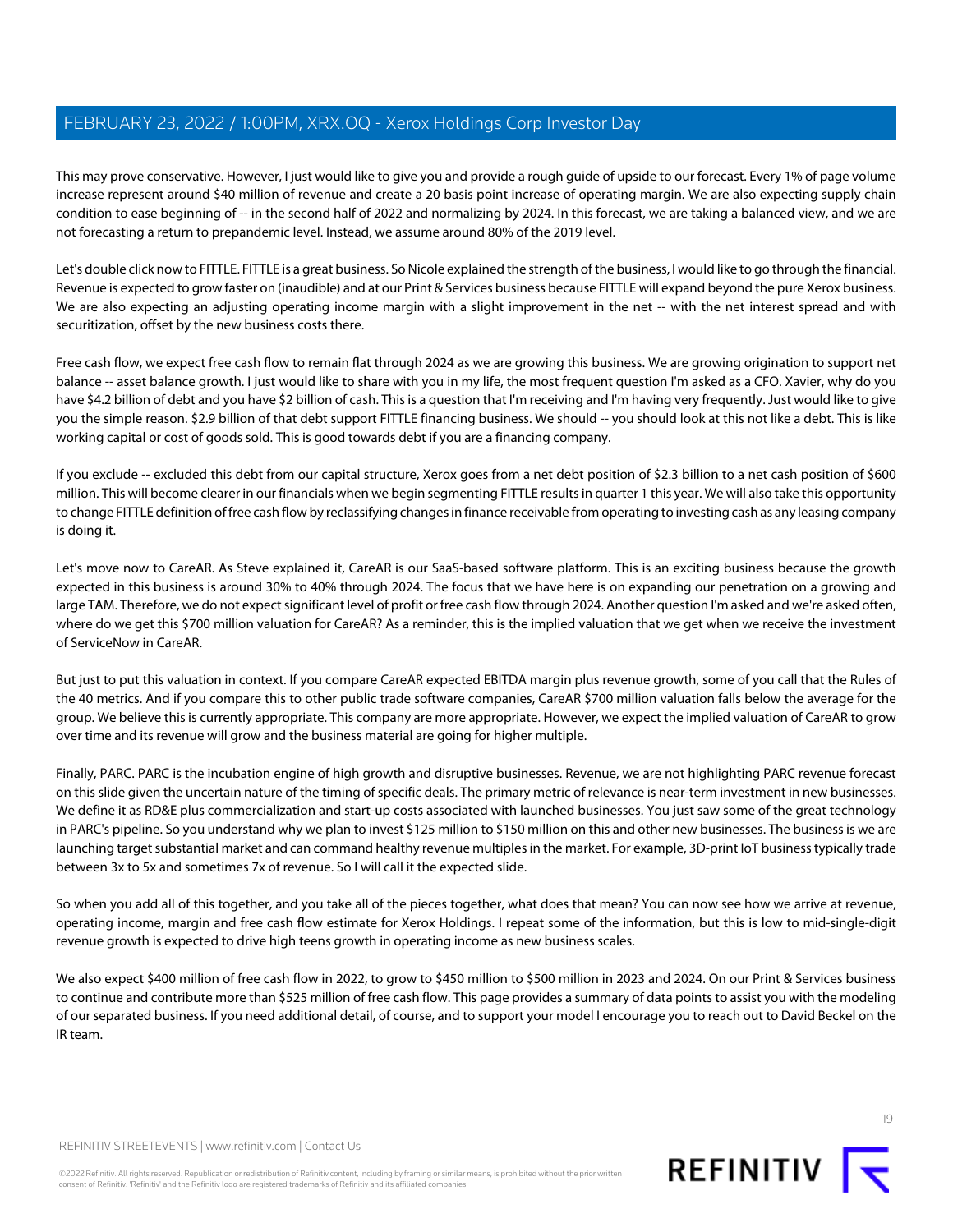This may prove conservative. However, I just would like to give you and provide a rough guide of upside to our forecast. Every 1% of page volume increase represent around \$40 million of revenue and create a 20 basis point increase of operating margin. We are also expecting supply chain condition to ease beginning of -- in the second half of 2022 and normalizing by 2024. In this forecast, we are taking a balanced view, and we are not forecasting a return to prepandemic level. Instead, we assume around 80% of the 2019 level.

Let's double click now to FITTLE. FITTLE is a great business. So Nicole explained the strength of the business, I would like to go through the financial. Revenue is expected to grow faster on (inaudible) and at our Print & Services business because FITTLE will expand beyond the pure Xerox business. We are also expecting an adjusting operating income margin with a slight improvement in the net -- with the net interest spread and with securitization, offset by the new business costs there.

Free cash flow, we expect free cash flow to remain flat through 2024 as we are growing this business. We are growing origination to support net balance -- asset balance growth. I just would like to share with you in my life, the most frequent question I'm asked as a CFO. Xavier, why do you have \$4.2 billion of debt and you have \$2 billion of cash. This is a question that I'm receiving and I'm having very frequently. Just would like to give you the simple reason. \$2.9 billion of that debt support FITTLE financing business. We should -- you should look at this not like a debt. This is like working capital or cost of goods sold. This is good towards debt if you are a financing company.

If you exclude -- excluded this debt from our capital structure, Xerox goes from a net debt position of \$2.3 billion to a net cash position of \$600 million. This will become clearer in our financials when we begin segmenting FITTLE results in quarter 1 this year. We will also take this opportunity to change FITTLE definition of free cash flow by reclassifying changes in finance receivable from operating to investing cash as any leasing company is doing it.

Let's move now to CareAR. As Steve explained it, CareAR is our SaaS-based software platform. This is an exciting business because the growth expected in this business is around 30% to 40% through 2024. The focus that we have here is on expanding our penetration on a growing and large TAM. Therefore, we do not expect significant level of profit or free cash flow through 2024. Another question I'm asked and we're asked often, where do we get this \$700 million valuation for CareAR? As a reminder, this is the implied valuation that we get when we receive the investment of ServiceNow in CareAR.

But just to put this valuation in context. If you compare CareAR expected EBITDA margin plus revenue growth, some of you call that the Rules of the 40 metrics. And if you compare this to other public trade software companies, CareAR \$700 million valuation falls below the average for the group. We believe this is currently appropriate. This company are more appropriate. However, we expect the implied valuation of CareAR to grow over time and its revenue will grow and the business material are going for higher multiple.

Finally, PARC. PARC is the incubation engine of high growth and disruptive businesses. Revenue, we are not highlighting PARC revenue forecast on this slide given the uncertain nature of the timing of specific deals. The primary metric of relevance is near-term investment in new businesses. We define it as RD&E plus commercialization and start-up costs associated with launched businesses. You just saw some of the great technology in PARC's pipeline. So you understand why we plan to invest \$125 million to \$150 million on this and other new businesses. The business is we are launching target substantial market and can command healthy revenue multiples in the market. For example, 3D-print IoT business typically trade between 3x to 5x and sometimes 7x of revenue. So I will call it the expected slide.

So when you add all of this together, and you take all of the pieces together, what does that mean? You can now see how we arrive at revenue, operating income, margin and free cash flow estimate for Xerox Holdings. I repeat some of the information, but this is low to mid-single-digit revenue growth is expected to drive high teens growth in operating income as new business scales.

We also expect \$400 million of free cash flow in 2022, to grow to \$450 million to \$500 million in 2023 and 2024. On our Print & Services business to continue and contribute more than \$525 million of free cash flow. This page provides a summary of data points to assist you with the modeling of our separated business. If you need additional detail, of course, and to support your model I encourage you to reach out to David Beckel on the IR team.

REFINITIV STREETEVENTS | [www.refinitiv.com](https://www.refinitiv.com/) | [Contact Us](https://www.refinitiv.com/en/contact-us)

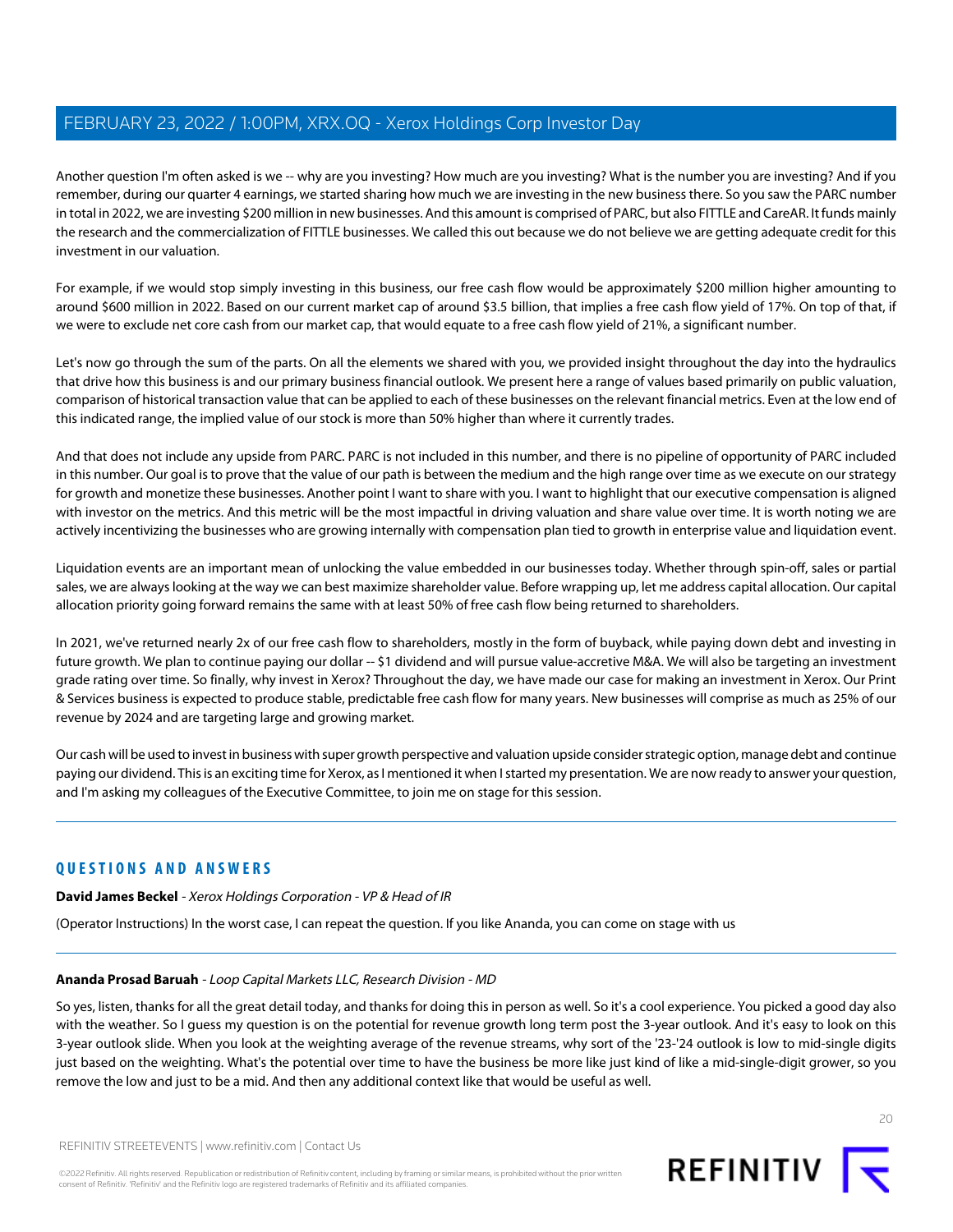Another question I'm often asked is we -- why are you investing? How much are you investing? What is the number you are investing? And if you remember, during our quarter 4 earnings, we started sharing how much we are investing in the new business there. So you saw the PARC number in total in 2022, we are investing \$200 million in new businesses. And this amount is comprised of PARC, but also FITTLE and CareAR. It funds mainly the research and the commercialization of FITTLE businesses. We called this out because we do not believe we are getting adequate credit for this investment in our valuation.

For example, if we would stop simply investing in this business, our free cash flow would be approximately \$200 million higher amounting to around \$600 million in 2022. Based on our current market cap of around \$3.5 billion, that implies a free cash flow yield of 17%. On top of that, if we were to exclude net core cash from our market cap, that would equate to a free cash flow yield of 21%, a significant number.

Let's now go through the sum of the parts. On all the elements we shared with you, we provided insight throughout the day into the hydraulics that drive how this business is and our primary business financial outlook. We present here a range of values based primarily on public valuation, comparison of historical transaction value that can be applied to each of these businesses on the relevant financial metrics. Even at the low end of this indicated range, the implied value of our stock is more than 50% higher than where it currently trades.

And that does not include any upside from PARC. PARC is not included in this number, and there is no pipeline of opportunity of PARC included in this number. Our goal is to prove that the value of our path is between the medium and the high range over time as we execute on our strategy for growth and monetize these businesses. Another point I want to share with you. I want to highlight that our executive compensation is aligned with investor on the metrics. And this metric will be the most impactful in driving valuation and share value over time. It is worth noting we are actively incentivizing the businesses who are growing internally with compensation plan tied to growth in enterprise value and liquidation event.

Liquidation events are an important mean of unlocking the value embedded in our businesses today. Whether through spin-off, sales or partial sales, we are always looking at the way we can best maximize shareholder value. Before wrapping up, let me address capital allocation. Our capital allocation priority going forward remains the same with at least 50% of free cash flow being returned to shareholders.

In 2021, we've returned nearly 2x of our free cash flow to shareholders, mostly in the form of buyback, while paying down debt and investing in future growth. We plan to continue paying our dollar -- \$1 dividend and will pursue value-accretive M&A. We will also be targeting an investment grade rating over time. So finally, why invest in Xerox? Throughout the day, we have made our case for making an investment in Xerox. Our Print & Services business is expected to produce stable, predictable free cash flow for many years. New businesses will comprise as much as 25% of our revenue by 2024 and are targeting large and growing market.

Our cash will be used to invest in business with super growth perspective and valuation upside consider strategic option, manage debt and continue paying our dividend. This is an exciting time for Xerox, as I mentioned it when I started my presentation. We are now ready to answer your question, and I'm asking my colleagues of the Executive Committee, to join me on stage for this session.

### **QUESTIONS AND ANSWERS**

<span id="page-19-0"></span>**David James Beckel** - Xerox Holdings Corporation - VP & Head of IR

(Operator Instructions) In the worst case, I can repeat the question. If you like Ananda, you can come on stage with us

### **Ananda Prosad Baruah** - Loop Capital Markets LLC, Research Division - MD

So yes, listen, thanks for all the great detail today, and thanks for doing this in person as well. So it's a cool experience. You picked a good day also with the weather. So I guess my question is on the potential for revenue growth long term post the 3-year outlook. And it's easy to look on this 3-year outlook slide. When you look at the weighting average of the revenue streams, why sort of the '23-'24 outlook is low to mid-single digits just based on the weighting. What's the potential over time to have the business be more like just kind of like a mid-single-digit grower, so you remove the low and just to be a mid. And then any additional context like that would be useful as well.

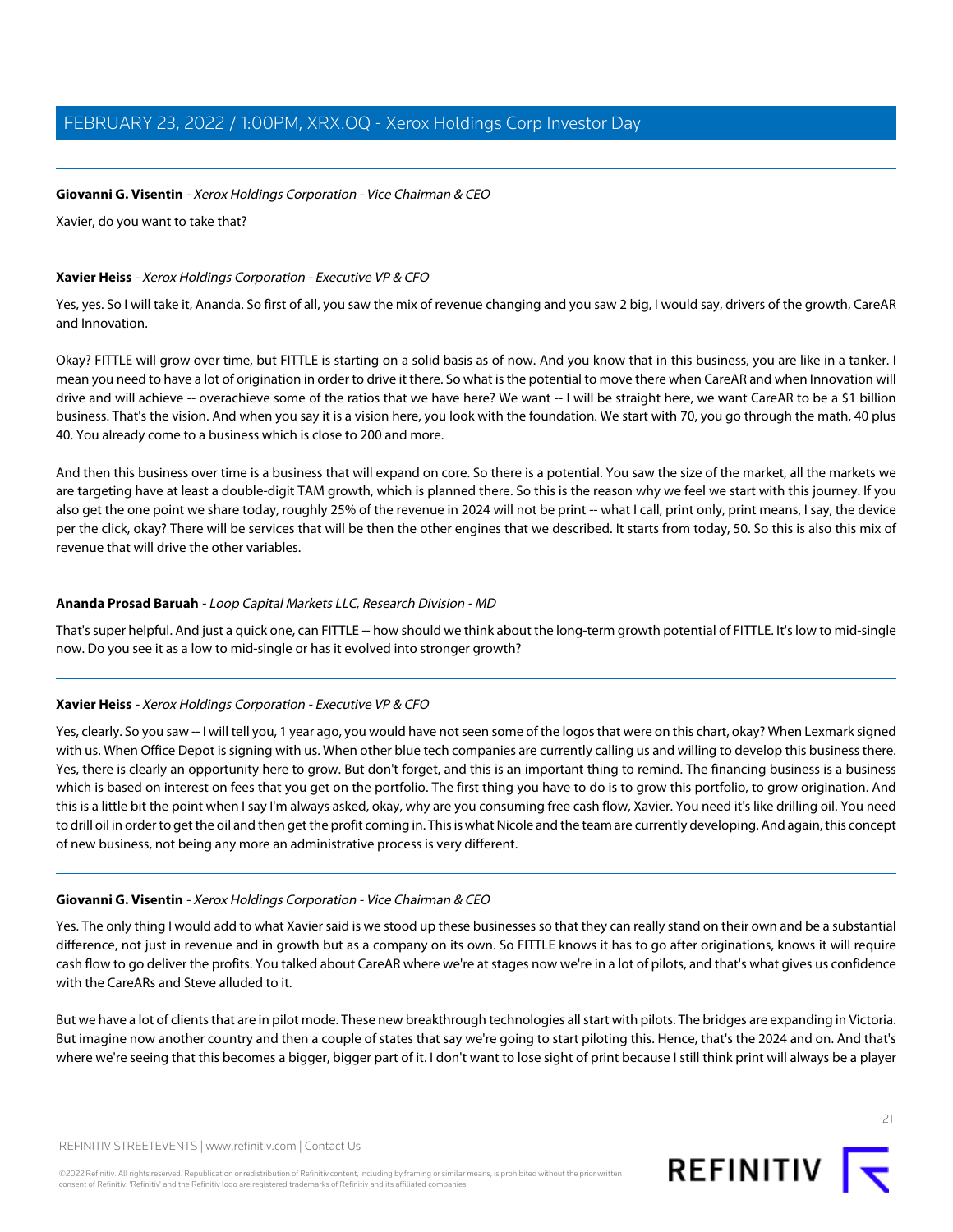### **Giovanni G. Visentin** - Xerox Holdings Corporation - Vice Chairman & CEO

Xavier, do you want to take that?

### **Xavier Heiss** - Xerox Holdings Corporation - Executive VP & CFO

Yes, yes. So I will take it, Ananda. So first of all, you saw the mix of revenue changing and you saw 2 big, I would say, drivers of the growth, CareAR and Innovation.

Okay? FITTLE will grow over time, but FITTLE is starting on a solid basis as of now. And you know that in this business, you are like in a tanker. I mean you need to have a lot of origination in order to drive it there. So what is the potential to move there when CareAR and when Innovation will drive and will achieve -- overachieve some of the ratios that we have here? We want -- I will be straight here, we want CareAR to be a \$1 billion business. That's the vision. And when you say it is a vision here, you look with the foundation. We start with 70, you go through the math, 40 plus 40. You already come to a business which is close to 200 and more.

And then this business over time is a business that will expand on core. So there is a potential. You saw the size of the market, all the markets we are targeting have at least a double-digit TAM growth, which is planned there. So this is the reason why we feel we start with this journey. If you also get the one point we share today, roughly 25% of the revenue in 2024 will not be print -- what I call, print only, print means, I say, the device per the click, okay? There will be services that will be then the other engines that we described. It starts from today, 50. So this is also this mix of revenue that will drive the other variables.

### **Ananda Prosad Baruah** - Loop Capital Markets LLC, Research Division - MD

That's super helpful. And just a quick one, can FITTLE -- how should we think about the long-term growth potential of FITTLE. It's low to mid-single now. Do you see it as a low to mid-single or has it evolved into stronger growth?

### **Xavier Heiss** - Xerox Holdings Corporation - Executive VP & CFO

Yes, clearly. So you saw -- I will tell you, 1 year ago, you would have not seen some of the logos that were on this chart, okay? When Lexmark signed with us. When Office Depot is signing with us. When other blue tech companies are currently calling us and willing to develop this business there. Yes, there is clearly an opportunity here to grow. But don't forget, and this is an important thing to remind. The financing business is a business which is based on interest on fees that you get on the portfolio. The first thing you have to do is to grow this portfolio, to grow origination. And this is a little bit the point when I say I'm always asked, okay, why are you consuming free cash flow, Xavier. You need it's like drilling oil. You need to drill oil in order to get the oil and then get the profit coming in. This is what Nicole and the team are currently developing. And again, this concept of new business, not being any more an administrative process is very different.

### **Giovanni G. Visentin** - Xerox Holdings Corporation - Vice Chairman & CEO

Yes. The only thing I would add to what Xavier said is we stood up these businesses so that they can really stand on their own and be a substantial difference, not just in revenue and in growth but as a company on its own. So FITTLE knows it has to go after originations, knows it will require cash flow to go deliver the profits. You talked about CareAR where we're at stages now we're in a lot of pilots, and that's what gives us confidence with the CareARs and Steve alluded to it.

But we have a lot of clients that are in pilot mode. These new breakthrough technologies all start with pilots. The bridges are expanding in Victoria. But imagine now another country and then a couple of states that say we're going to start piloting this. Hence, that's the 2024 and on. And that's where we're seeing that this becomes a bigger, bigger part of it. I don't want to lose sight of print because I still think print will always be a player

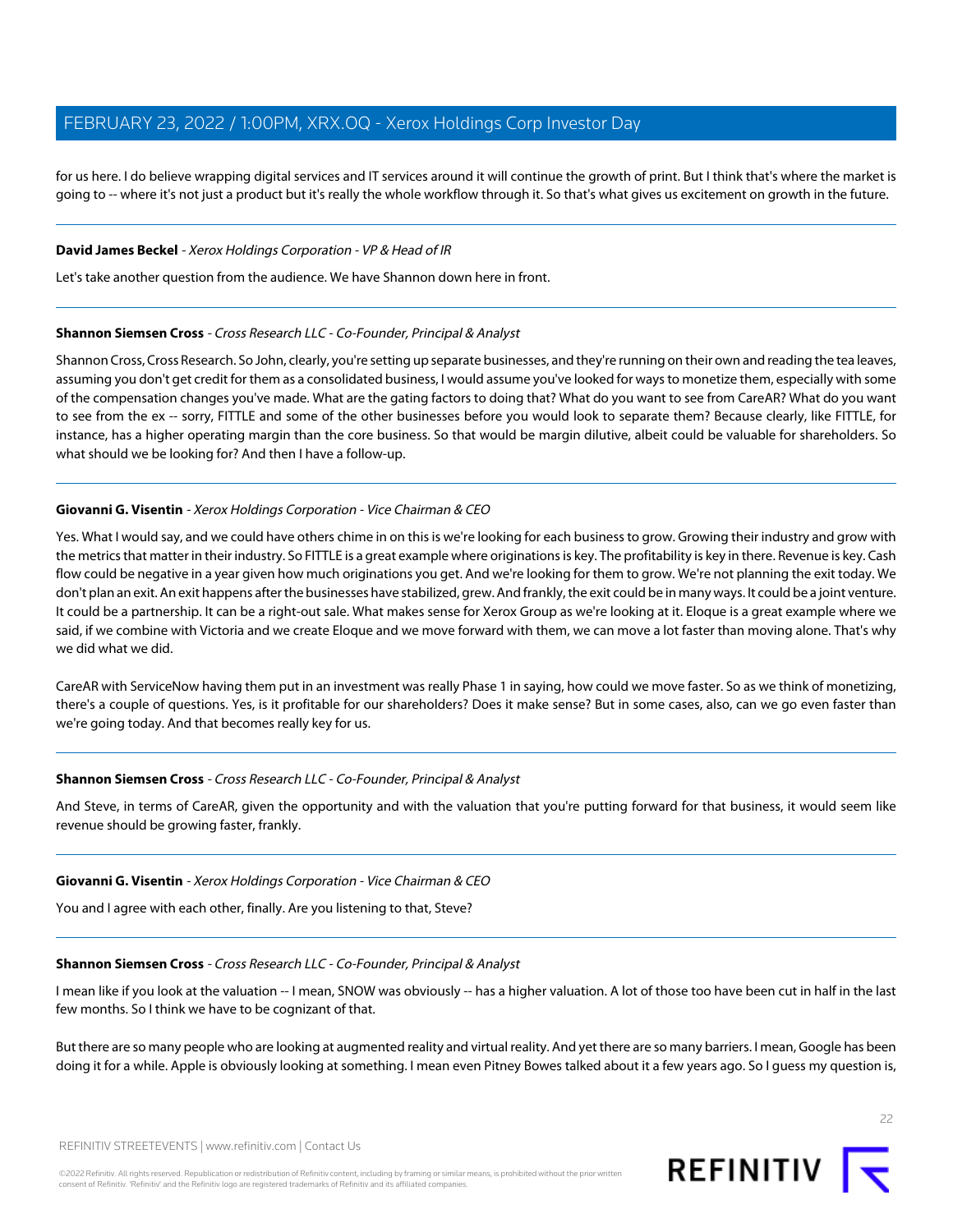for us here. I do believe wrapping digital services and IT services around it will continue the growth of print. But I think that's where the market is going to -- where it's not just a product but it's really the whole workflow through it. So that's what gives us excitement on growth in the future.

#### **David James Beckel** - Xerox Holdings Corporation - VP & Head of IR

<span id="page-21-0"></span>Let's take another question from the audience. We have Shannon down here in front.

#### **Shannon Siemsen Cross** - Cross Research LLC - Co-Founder, Principal & Analyst

Shannon Cross, Cross Research. So John, clearly, you're setting up separate businesses, and they're running on their own and reading the tea leaves, assuming you don't get credit for them as a consolidated business, I would assume you've looked for ways to monetize them, especially with some of the compensation changes you've made. What are the gating factors to doing that? What do you want to see from CareAR? What do you want to see from the ex -- sorry, FITTLE and some of the other businesses before you would look to separate them? Because clearly, like FITTLE, for instance, has a higher operating margin than the core business. So that would be margin dilutive, albeit could be valuable for shareholders. So what should we be looking for? And then I have a follow-up.

### **Giovanni G. Visentin** - Xerox Holdings Corporation - Vice Chairman & CEO

Yes. What I would say, and we could have others chime in on this is we're looking for each business to grow. Growing their industry and grow with the metrics that matter in their industry. So FITTLE is a great example where originations is key. The profitability is key in there. Revenue is key. Cash flow could be negative in a year given how much originations you get. And we're looking for them to grow. We're not planning the exit today. We don't plan an exit. An exit happens after the businesses have stabilized, grew. And frankly, the exit could be in many ways. It could be a joint venture. It could be a partnership. It can be a right-out sale. What makes sense for Xerox Group as we're looking at it. Eloque is a great example where we said, if we combine with Victoria and we create Eloque and we move forward with them, we can move a lot faster than moving alone. That's why we did what we did.

CareAR with ServiceNow having them put in an investment was really Phase 1 in saying, how could we move faster. So as we think of monetizing, there's a couple of questions. Yes, is it profitable for our shareholders? Does it make sense? But in some cases, also, can we go even faster than we're going today. And that becomes really key for us.

#### **Shannon Siemsen Cross** - Cross Research LLC - Co-Founder, Principal & Analyst

And Steve, in terms of CareAR, given the opportunity and with the valuation that you're putting forward for that business, it would seem like revenue should be growing faster, frankly.

#### **Giovanni G. Visentin** - Xerox Holdings Corporation - Vice Chairman & CEO

You and I agree with each other, finally. Are you listening to that, Steve?

#### **Shannon Siemsen Cross** - Cross Research LLC - Co-Founder, Principal & Analyst

I mean like if you look at the valuation -- I mean, SNOW was obviously -- has a higher valuation. A lot of those too have been cut in half in the last few months. So I think we have to be cognizant of that.

But there are so many people who are looking at augmented reality and virtual reality. And yet there are so many barriers. I mean, Google has been doing it for a while. Apple is obviously looking at something. I mean even Pitney Bowes talked about it a few years ago. So I guess my question is,

22

REFINITIV STREETEVENTS | [www.refinitiv.com](https://www.refinitiv.com/) | [Contact Us](https://www.refinitiv.com/en/contact-us)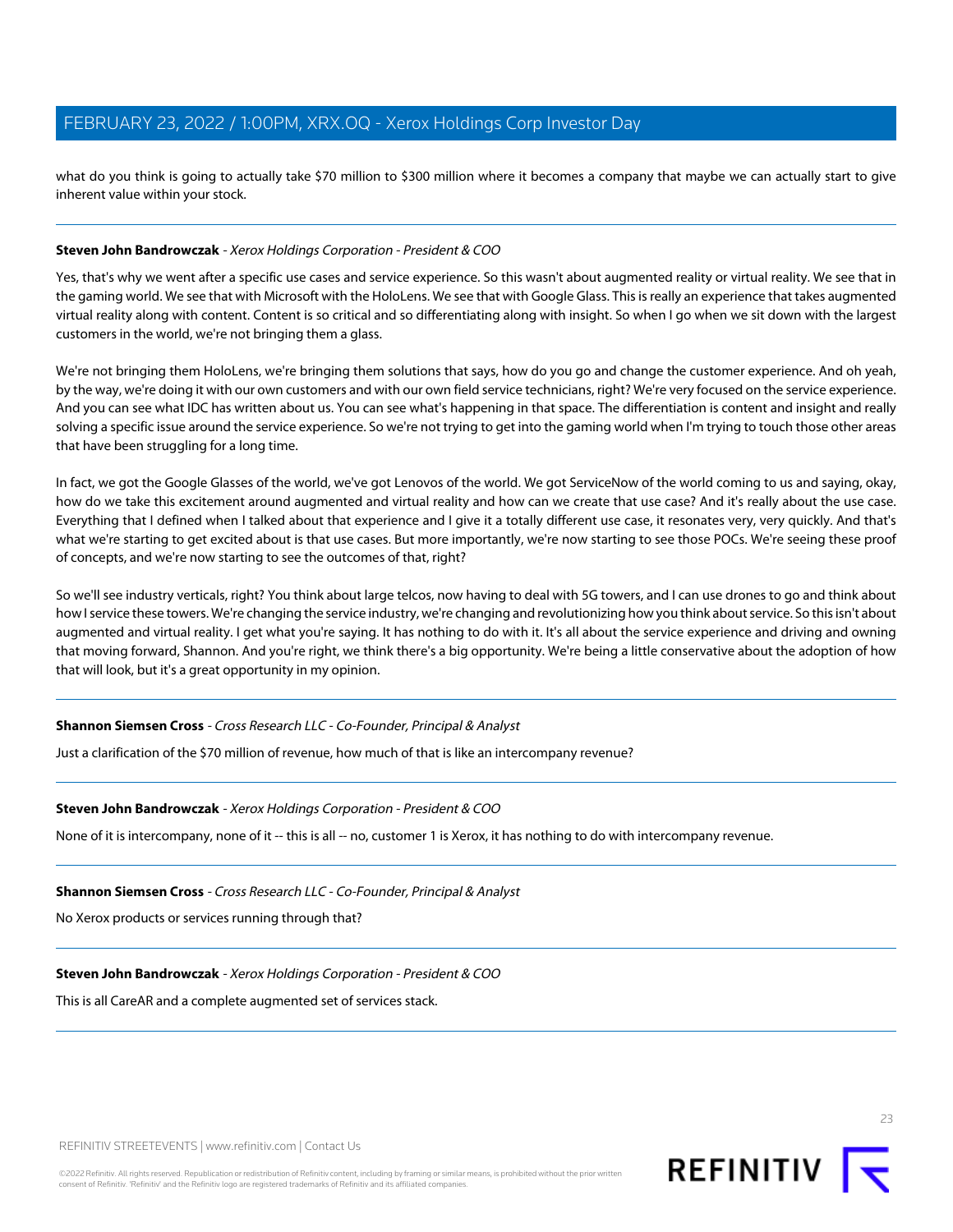what do you think is going to actually take \$70 million to \$300 million where it becomes a company that maybe we can actually start to give inherent value within your stock.

#### **Steven John Bandrowczak** - Xerox Holdings Corporation - President & COO

Yes, that's why we went after a specific use cases and service experience. So this wasn't about augmented reality or virtual reality. We see that in the gaming world. We see that with Microsoft with the HoloLens. We see that with Google Glass. This is really an experience that takes augmented virtual reality along with content. Content is so critical and so differentiating along with insight. So when I go when we sit down with the largest customers in the world, we're not bringing them a glass.

We're not bringing them HoloLens, we're bringing them solutions that says, how do you go and change the customer experience. And oh yeah, by the way, we're doing it with our own customers and with our own field service technicians, right? We're very focused on the service experience. And you can see what IDC has written about us. You can see what's happening in that space. The differentiation is content and insight and really solving a specific issue around the service experience. So we're not trying to get into the gaming world when I'm trying to touch those other areas that have been struggling for a long time.

In fact, we got the Google Glasses of the world, we've got Lenovos of the world. We got ServiceNow of the world coming to us and saying, okay, how do we take this excitement around augmented and virtual reality and how can we create that use case? And it's really about the use case. Everything that I defined when I talked about that experience and I give it a totally different use case, it resonates very, very quickly. And that's what we're starting to get excited about is that use cases. But more importantly, we're now starting to see those POCs. We're seeing these proof of concepts, and we're now starting to see the outcomes of that, right?

So we'll see industry verticals, right? You think about large telcos, now having to deal with 5G towers, and I can use drones to go and think about how I service these towers. We're changing the service industry, we're changing and revolutionizing how you think about service. So this isn't about augmented and virtual reality. I get what you're saying. It has nothing to do with it. It's all about the service experience and driving and owning that moving forward, Shannon. And you're right, we think there's a big opportunity. We're being a little conservative about the adoption of how that will look, but it's a great opportunity in my opinion.

#### **Shannon Siemsen Cross** - Cross Research LLC - Co-Founder, Principal & Analyst

Just a clarification of the \$70 million of revenue, how much of that is like an intercompany revenue?

#### **Steven John Bandrowczak** - Xerox Holdings Corporation - President & COO

None of it is intercompany, none of it -- this is all -- no, customer 1 is Xerox, it has nothing to do with intercompany revenue.

#### **Shannon Siemsen Cross** - Cross Research LLC - Co-Founder, Principal & Analyst

No Xerox products or services running through that?

#### **Steven John Bandrowczak** - Xerox Holdings Corporation - President & COO

This is all CareAR and a complete augmented set of services stack.

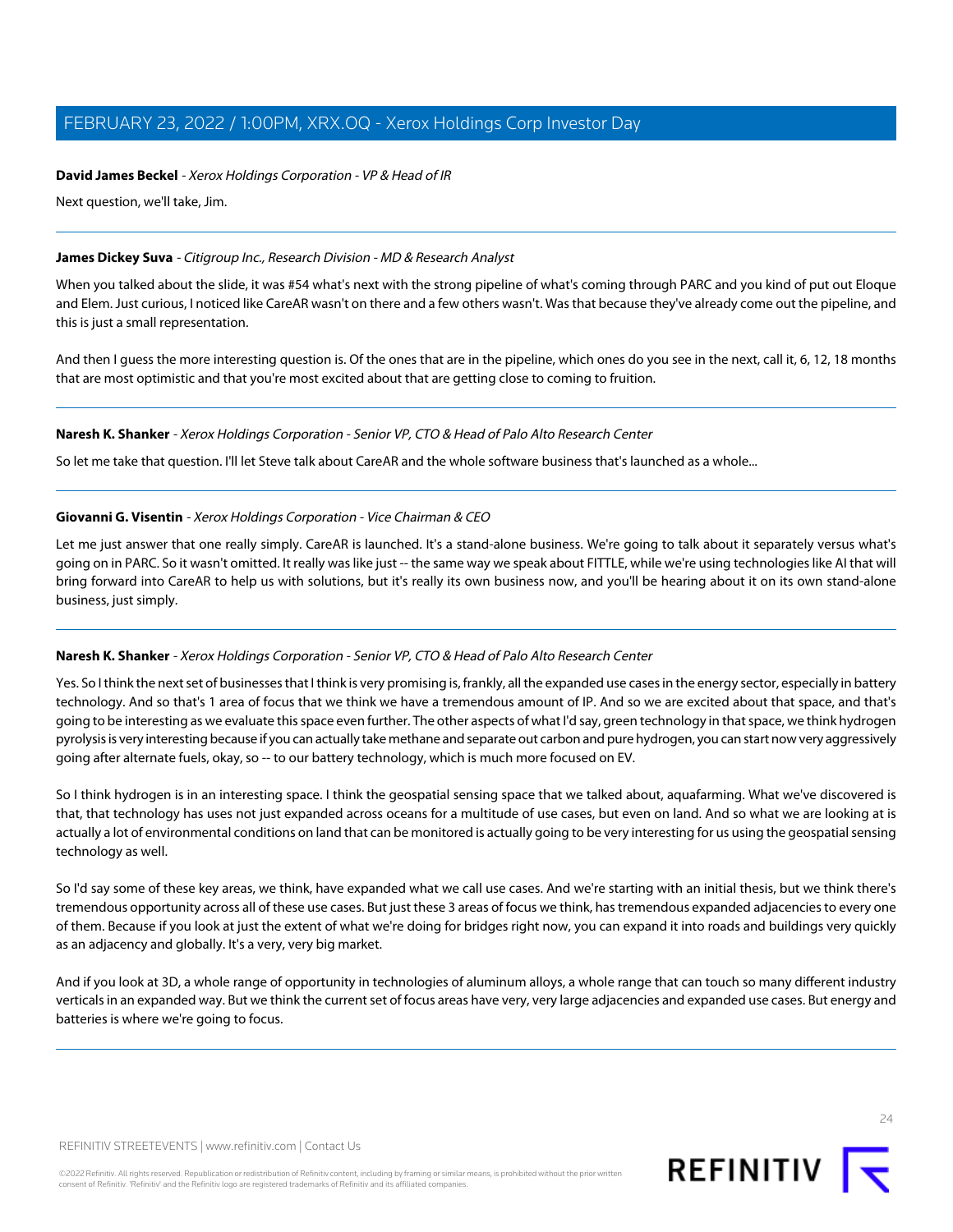### **David James Beckel** - Xerox Holdings Corporation - VP & Head of IR

Next question, we'll take, Jim.

### <span id="page-23-0"></span>**James Dickey Suva** - Citigroup Inc., Research Division - MD & Research Analyst

When you talked about the slide, it was #54 what's next with the strong pipeline of what's coming through PARC and you kind of put out Eloque and Elem. Just curious, I noticed like CareAR wasn't on there and a few others wasn't. Was that because they've already come out the pipeline, and this is just a small representation.

And then I guess the more interesting question is. Of the ones that are in the pipeline, which ones do you see in the next, call it, 6, 12, 18 months that are most optimistic and that you're most excited about that are getting close to coming to fruition.

### **Naresh K. Shanker** - Xerox Holdings Corporation - Senior VP, CTO & Head of Palo Alto Research Center

So let me take that question. I'll let Steve talk about CareAR and the whole software business that's launched as a whole...

### **Giovanni G. Visentin** - Xerox Holdings Corporation - Vice Chairman & CEO

Let me just answer that one really simply. CareAR is launched. It's a stand-alone business. We're going to talk about it separately versus what's going on in PARC. So it wasn't omitted. It really was like just -- the same way we speak about FITTLE, while we're using technologies like AI that will bring forward into CareAR to help us with solutions, but it's really its own business now, and you'll be hearing about it on its own stand-alone business, just simply.

### **Naresh K. Shanker** - Xerox Holdings Corporation - Senior VP, CTO & Head of Palo Alto Research Center

Yes. So I think the next set of businesses that I think is very promising is, frankly, all the expanded use cases in the energy sector, especially in battery technology. And so that's 1 area of focus that we think we have a tremendous amount of IP. And so we are excited about that space, and that's going to be interesting as we evaluate this space even further. The other aspects of what I'd say, green technology in that space, we think hydrogen pyrolysis is very interesting because if you can actually take methane and separate out carbon and pure hydrogen, you can start now very aggressively going after alternate fuels, okay, so -- to our battery technology, which is much more focused on EV.

So I think hydrogen is in an interesting space. I think the geospatial sensing space that we talked about, aquafarming. What we've discovered is that, that technology has uses not just expanded across oceans for a multitude of use cases, but even on land. And so what we are looking at is actually a lot of environmental conditions on land that can be monitored is actually going to be very interesting for us using the geospatial sensing technology as well.

So I'd say some of these key areas, we think, have expanded what we call use cases. And we're starting with an initial thesis, but we think there's tremendous opportunity across all of these use cases. But just these 3 areas of focus we think, has tremendous expanded adjacencies to every one of them. Because if you look at just the extent of what we're doing for bridges right now, you can expand it into roads and buildings very quickly as an adjacency and globally. It's a very, very big market.

And if you look at 3D, a whole range of opportunity in technologies of aluminum alloys, a whole range that can touch so many different industry verticals in an expanded way. But we think the current set of focus areas have very, very large adjacencies and expanded use cases. But energy and batteries is where we're going to focus.

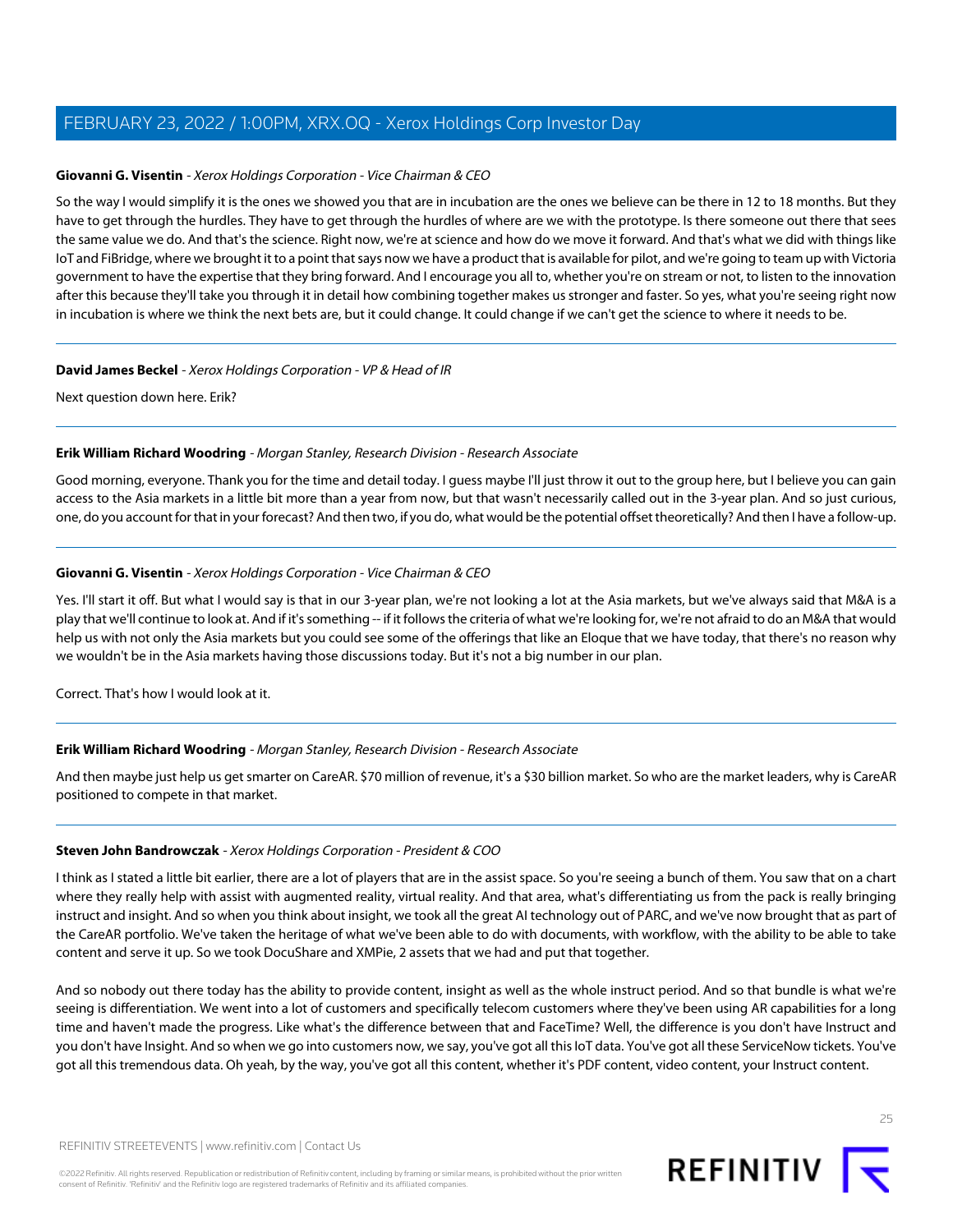#### **Giovanni G. Visentin** - Xerox Holdings Corporation - Vice Chairman & CEO

So the way I would simplify it is the ones we showed you that are in incubation are the ones we believe can be there in 12 to 18 months. But they have to get through the hurdles. They have to get through the hurdles of where are we with the prototype. Is there someone out there that sees the same value we do. And that's the science. Right now, we're at science and how do we move it forward. And that's what we did with things like IoT and FiBridge, where we brought it to a point that says now we have a product that is available for pilot, and we're going to team up with Victoria government to have the expertise that they bring forward. And I encourage you all to, whether you're on stream or not, to listen to the innovation after this because they'll take you through it in detail how combining together makes us stronger and faster. So yes, what you're seeing right now in incubation is where we think the next bets are, but it could change. It could change if we can't get the science to where it needs to be.

#### **David James Beckel** - Xerox Holdings Corporation - VP & Head of IR

<span id="page-24-0"></span>Next question down here. Erik?

#### **Erik William Richard Woodring** - Morgan Stanley, Research Division - Research Associate

Good morning, everyone. Thank you for the time and detail today. I guess maybe I'll just throw it out to the group here, but I believe you can gain access to the Asia markets in a little bit more than a year from now, but that wasn't necessarily called out in the 3-year plan. And so just curious, one, do you account for that in your forecast? And then two, if you do, what would be the potential offset theoretically? And then I have a follow-up.

#### **Giovanni G. Visentin** - Xerox Holdings Corporation - Vice Chairman & CEO

Yes. I'll start it off. But what I would say is that in our 3-year plan, we're not looking a lot at the Asia markets, but we've always said that M&A is a play that we'll continue to look at. And if it's something -- if it follows the criteria of what we're looking for, we're not afraid to do an M&A that would help us with not only the Asia markets but you could see some of the offerings that like an Eloque that we have today, that there's no reason why we wouldn't be in the Asia markets having those discussions today. But it's not a big number in our plan.

Correct. That's how I would look at it.

#### **Erik William Richard Woodring** - Morgan Stanley, Research Division - Research Associate

And then maybe just help us get smarter on CareAR. \$70 million of revenue, it's a \$30 billion market. So who are the market leaders, why is CareAR positioned to compete in that market.

#### **Steven John Bandrowczak** - Xerox Holdings Corporation - President & COO

I think as I stated a little bit earlier, there are a lot of players that are in the assist space. So you're seeing a bunch of them. You saw that on a chart where they really help with assist with augmented reality, virtual reality. And that area, what's differentiating us from the pack is really bringing instruct and insight. And so when you think about insight, we took all the great AI technology out of PARC, and we've now brought that as part of the CareAR portfolio. We've taken the heritage of what we've been able to do with documents, with workflow, with the ability to be able to take content and serve it up. So we took DocuShare and XMPie, 2 assets that we had and put that together.

And so nobody out there today has the ability to provide content, insight as well as the whole instruct period. And so that bundle is what we're seeing is differentiation. We went into a lot of customers and specifically telecom customers where they've been using AR capabilities for a long time and haven't made the progress. Like what's the difference between that and FaceTime? Well, the difference is you don't have Instruct and you don't have Insight. And so when we go into customers now, we say, you've got all this IoT data. You've got all these ServiceNow tickets. You've got all this tremendous data. Oh yeah, by the way, you've got all this content, whether it's PDF content, video content, your Instruct content.

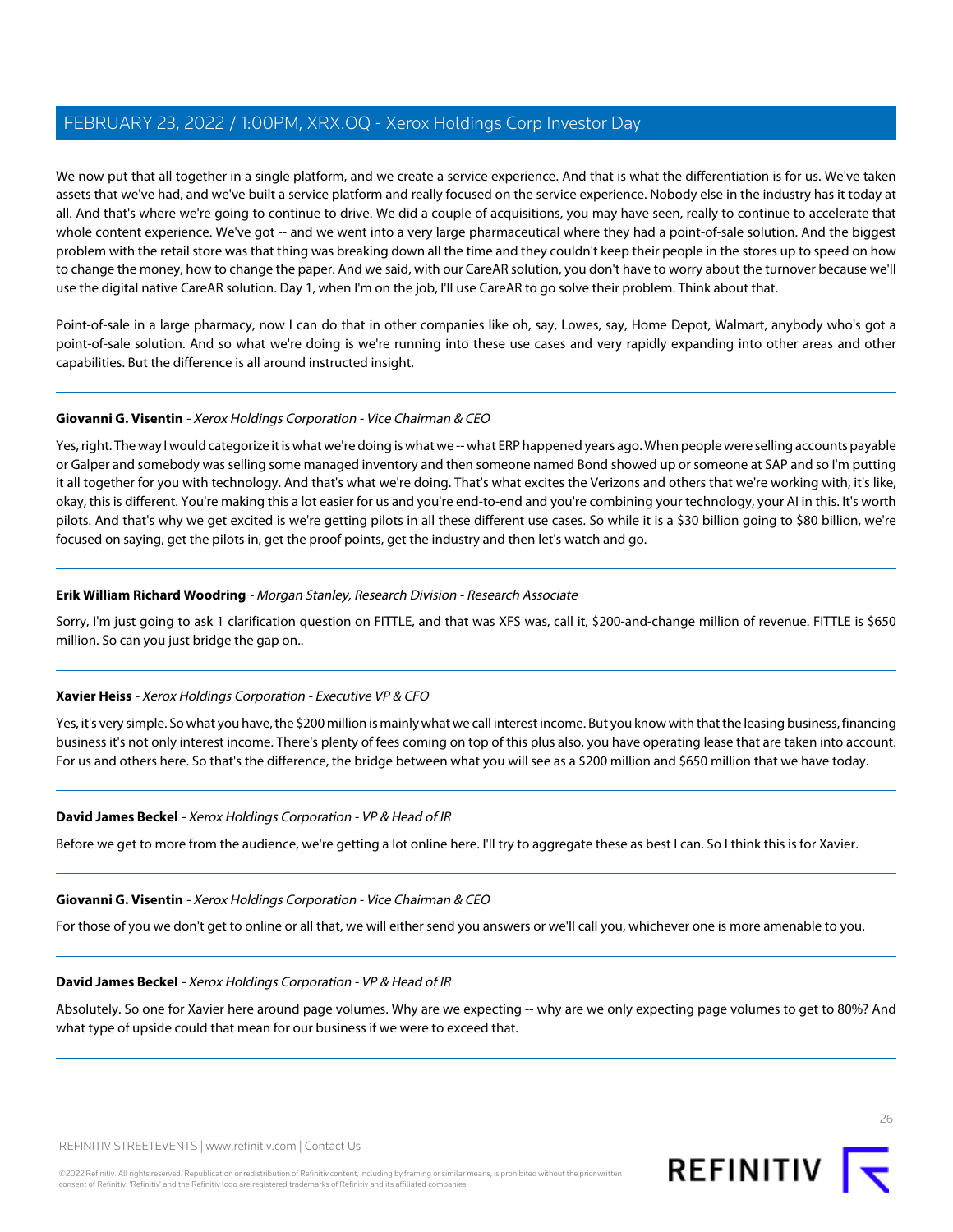We now put that all together in a single platform, and we create a service experience. And that is what the differentiation is for us. We've taken assets that we've had, and we've built a service platform and really focused on the service experience. Nobody else in the industry has it today at all. And that's where we're going to continue to drive. We did a couple of acquisitions, you may have seen, really to continue to accelerate that whole content experience. We've got -- and we went into a very large pharmaceutical where they had a point-of-sale solution. And the biggest problem with the retail store was that thing was breaking down all the time and they couldn't keep their people in the stores up to speed on how to change the money, how to change the paper. And we said, with our CareAR solution, you don't have to worry about the turnover because we'll use the digital native CareAR solution. Day 1, when I'm on the job, I'll use CareAR to go solve their problem. Think about that.

Point-of-sale in a large pharmacy, now I can do that in other companies like oh, say, Lowes, say, Home Depot, Walmart, anybody who's got a point-of-sale solution. And so what we're doing is we're running into these use cases and very rapidly expanding into other areas and other capabilities. But the difference is all around instructed insight.

### **Giovanni G. Visentin** - Xerox Holdings Corporation - Vice Chairman & CEO

Yes, right. The way I would categorize it is what we're doing is what we -- what ERP happened years ago. When people were selling accounts payable or Galper and somebody was selling some managed inventory and then someone named Bond showed up or someone at SAP and so I'm putting it all together for you with technology. And that's what we're doing. That's what excites the Verizons and others that we're working with, it's like, okay, this is different. You're making this a lot easier for us and you're end-to-end and you're combining your technology, your AI in this. It's worth pilots. And that's why we get excited is we're getting pilots in all these different use cases. So while it is a \$30 billion going to \$80 billion, we're focused on saying, get the pilots in, get the proof points, get the industry and then let's watch and go.

### **Erik William Richard Woodring** - Morgan Stanley, Research Division - Research Associate

Sorry, I'm just going to ask 1 clarification question on FITTLE, and that was XFS was, call it, \$200-and-change million of revenue. FITTLE is \$650 million. So can you just bridge the gap on..

### **Xavier Heiss** - Xerox Holdings Corporation - Executive VP & CFO

Yes, it's very simple. So what you have, the \$200 million is mainly what we call interest income. But you know with that the leasing business, financing business it's not only interest income. There's plenty of fees coming on top of this plus also, you have operating lease that are taken into account. For us and others here. So that's the difference, the bridge between what you will see as a \$200 million and \$650 million that we have today.

### **David James Beckel** - Xerox Holdings Corporation - VP & Head of IR

Before we get to more from the audience, we're getting a lot online here. I'll try to aggregate these as best I can. So I think this is for Xavier.

### **Giovanni G. Visentin** - Xerox Holdings Corporation - Vice Chairman & CEO

For those of you we don't get to online or all that, we will either send you answers or we'll call you, whichever one is more amenable to you.

### **David James Beckel** - Xerox Holdings Corporation - VP & Head of IR

Absolutely. So one for Xavier here around page volumes. Why are we expecting -- why are we only expecting page volumes to get to 80%? And what type of upside could that mean for our business if we were to exceed that.

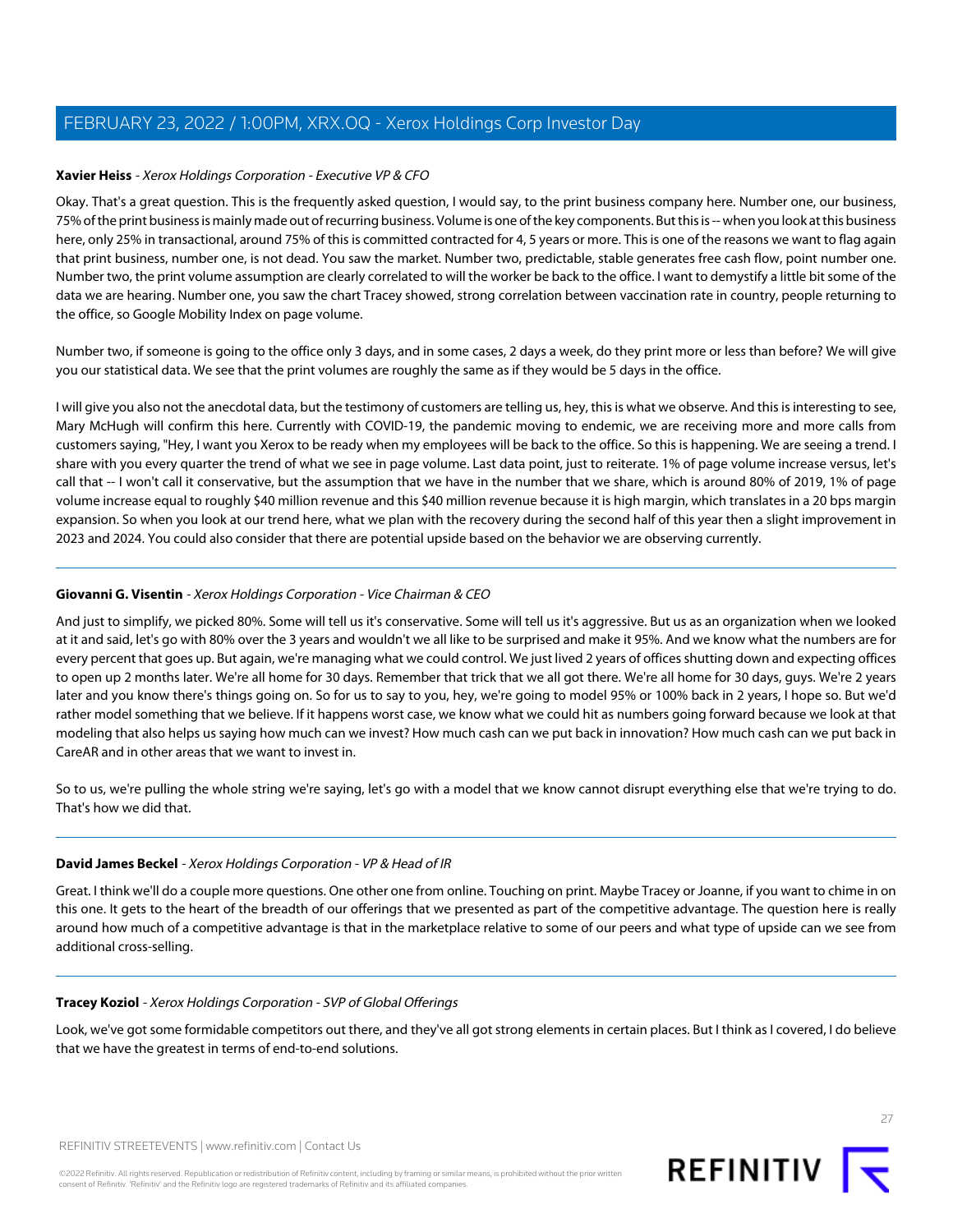#### **Xavier Heiss** - Xerox Holdings Corporation - Executive VP & CFO

Okay. That's a great question. This is the frequently asked question, I would say, to the print business company here. Number one, our business, 75% of the print business is mainly made out of recurring business. Volume is one of the key components. But this is -- when you look at this business here, only 25% in transactional, around 75% of this is committed contracted for 4, 5 years or more. This is one of the reasons we want to flag again that print business, number one, is not dead. You saw the market. Number two, predictable, stable generates free cash flow, point number one. Number two, the print volume assumption are clearly correlated to will the worker be back to the office. I want to demystify a little bit some of the data we are hearing. Number one, you saw the chart Tracey showed, strong correlation between vaccination rate in country, people returning to the office, so Google Mobility Index on page volume.

Number two, if someone is going to the office only 3 days, and in some cases, 2 days a week, do they print more or less than before? We will give you our statistical data. We see that the print volumes are roughly the same as if they would be 5 days in the office.

I will give you also not the anecdotal data, but the testimony of customers are telling us, hey, this is what we observe. And this is interesting to see, Mary McHugh will confirm this here. Currently with COVID-19, the pandemic moving to endemic, we are receiving more and more calls from customers saying, "Hey, I want you Xerox to be ready when my employees will be back to the office. So this is happening. We are seeing a trend. I share with you every quarter the trend of what we see in page volume. Last data point, just to reiterate. 1% of page volume increase versus, let's call that -- I won't call it conservative, but the assumption that we have in the number that we share, which is around 80% of 2019, 1% of page volume increase equal to roughly \$40 million revenue and this \$40 million revenue because it is high margin, which translates in a 20 bps margin expansion. So when you look at our trend here, what we plan with the recovery during the second half of this year then a slight improvement in 2023 and 2024. You could also consider that there are potential upside based on the behavior we are observing currently.

### **Giovanni G. Visentin** - Xerox Holdings Corporation - Vice Chairman & CEO

And just to simplify, we picked 80%. Some will tell us it's conservative. Some will tell us it's aggressive. But us as an organization when we looked at it and said, let's go with 80% over the 3 years and wouldn't we all like to be surprised and make it 95%. And we know what the numbers are for every percent that goes up. But again, we're managing what we could control. We just lived 2 years of offices shutting down and expecting offices to open up 2 months later. We're all home for 30 days. Remember that trick that we all got there. We're all home for 30 days, guys. We're 2 years later and you know there's things going on. So for us to say to you, hey, we're going to model 95% or 100% back in 2 years, I hope so. But we'd rather model something that we believe. If it happens worst case, we know what we could hit as numbers going forward because we look at that modeling that also helps us saying how much can we invest? How much cash can we put back in innovation? How much cash can we put back in CareAR and in other areas that we want to invest in.

So to us, we're pulling the whole string we're saying, let's go with a model that we know cannot disrupt everything else that we're trying to do. That's how we did that.

### **David James Beckel** - Xerox Holdings Corporation - VP & Head of IR

Great. I think we'll do a couple more questions. One other one from online. Touching on print. Maybe Tracey or Joanne, if you want to chime in on this one. It gets to the heart of the breadth of our offerings that we presented as part of the competitive advantage. The question here is really around how much of a competitive advantage is that in the marketplace relative to some of our peers and what type of upside can we see from additional cross-selling.

#### **Tracey Koziol** - Xerox Holdings Corporation - SVP of Global Offerings

Look, we've got some formidable competitors out there, and they've all got strong elements in certain places. But I think as I covered, I do believe that we have the greatest in terms of end-to-end solutions.

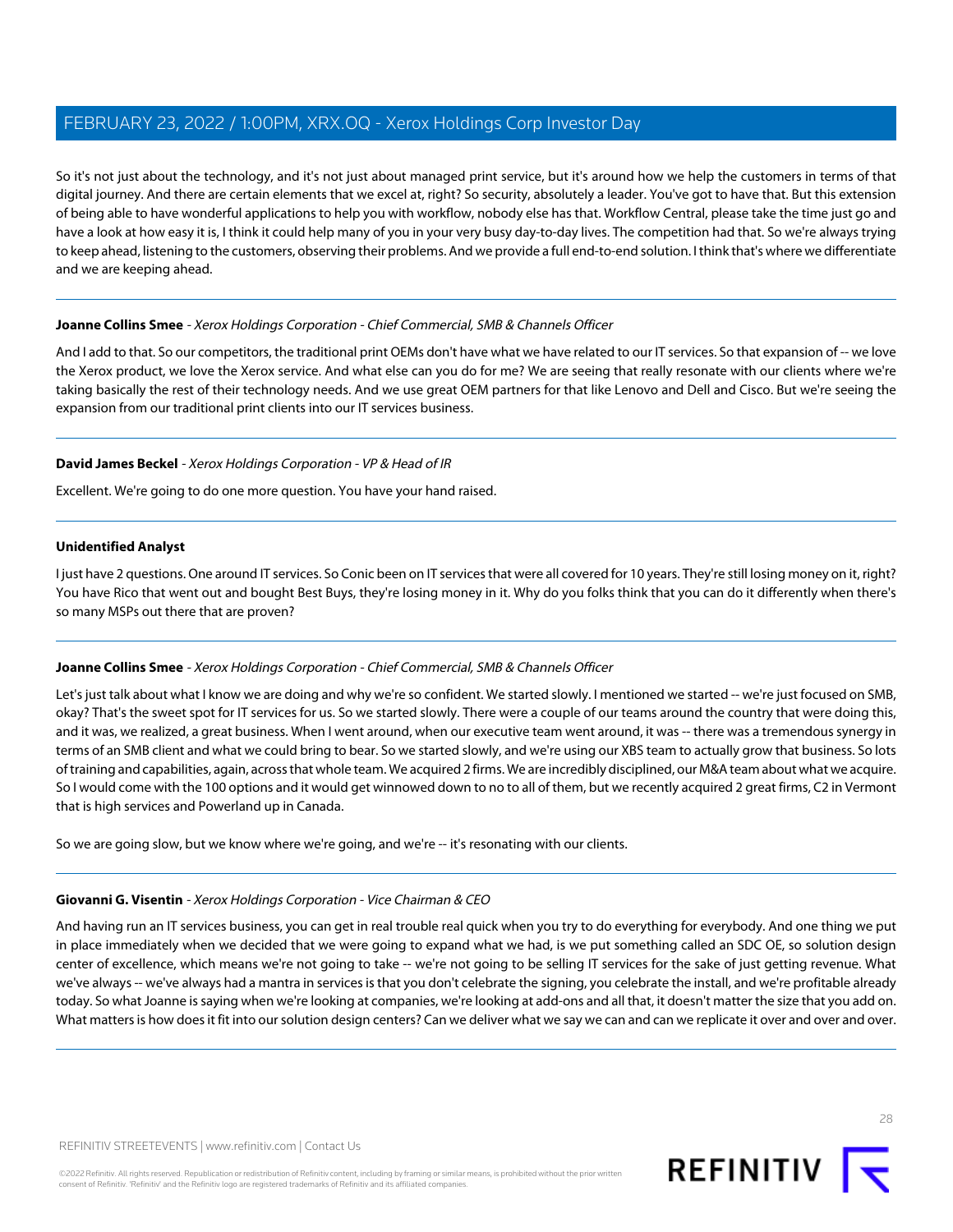So it's not just about the technology, and it's not just about managed print service, but it's around how we help the customers in terms of that digital journey. And there are certain elements that we excel at, right? So security, absolutely a leader. You've got to have that. But this extension of being able to have wonderful applications to help you with workflow, nobody else has that. Workflow Central, please take the time just go and have a look at how easy it is, I think it could help many of you in your very busy day-to-day lives. The competition had that. So we're always trying to keep ahead, listening to the customers, observing their problems. And we provide a full end-to-end solution. I think that's where we differentiate and we are keeping ahead.

### **Joanne Collins Smee** - Xerox Holdings Corporation - Chief Commercial, SMB & Channels Officer

And I add to that. So our competitors, the traditional print OEMs don't have what we have related to our IT services. So that expansion of -- we love the Xerox product, we love the Xerox service. And what else can you do for me? We are seeing that really resonate with our clients where we're taking basically the rest of their technology needs. And we use great OEM partners for that like Lenovo and Dell and Cisco. But we're seeing the expansion from our traditional print clients into our IT services business.

### **David James Beckel** - Xerox Holdings Corporation - VP & Head of IR

Excellent. We're going to do one more question. You have your hand raised.

### **Unidentified Analyst**

I just have 2 questions. One around IT services. So Conic been on IT services that were all covered for 10 years. They're still losing money on it, right? You have Rico that went out and bought Best Buys, they're losing money in it. Why do you folks think that you can do it differently when there's so many MSPs out there that are proven?

### **Joanne Collins Smee** - Xerox Holdings Corporation - Chief Commercial, SMB & Channels Officer

Let's just talk about what I know we are doing and why we're so confident. We started slowly. I mentioned we started -- we're just focused on SMB, okay? That's the sweet spot for IT services for us. So we started slowly. There were a couple of our teams around the country that were doing this, and it was, we realized, a great business. When I went around, when our executive team went around, it was -- there was a tremendous synergy in terms of an SMB client and what we could bring to bear. So we started slowly, and we're using our XBS team to actually grow that business. So lots of training and capabilities, again, across that whole team. We acquired 2 firms. We are incredibly disciplined, our M&A team about what we acquire. So I would come with the 100 options and it would get winnowed down to no to all of them, but we recently acquired 2 great firms, C2 in Vermont that is high services and Powerland up in Canada.

So we are going slow, but we know where we're going, and we're -- it's resonating with our clients.

### **Giovanni G. Visentin** - Xerox Holdings Corporation - Vice Chairman & CEO

And having run an IT services business, you can get in real trouble real quick when you try to do everything for everybody. And one thing we put in place immediately when we decided that we were going to expand what we had, is we put something called an SDC OE, so solution design center of excellence, which means we're not going to take -- we're not going to be selling IT services for the sake of just getting revenue. What we've always -- we've always had a mantra in services is that you don't celebrate the signing, you celebrate the install, and we're profitable already today. So what Joanne is saying when we're looking at companies, we're looking at add-ons and all that, it doesn't matter the size that you add on. What matters is how does it fit into our solution design centers? Can we deliver what we say we can and can we replicate it over and over and over.